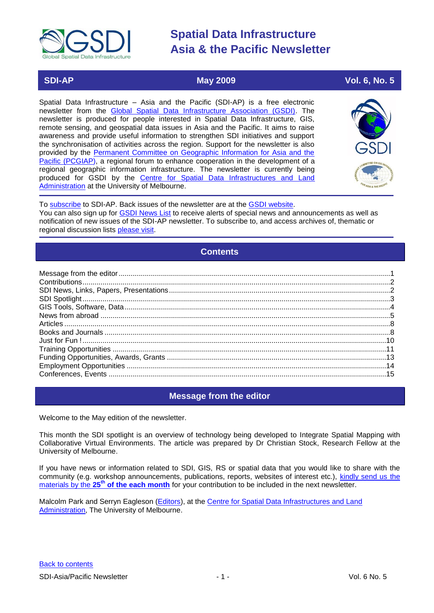<span id="page-0-2"></span>

# **SDI-AP May 2009 Vol. 6, No. 5**

Spatial Data Infrastructure – Asia and the Pacific (SDI-AP) is a free electronic newsletter from the [Global Spatial Data Infrastructure Association \(GSDI\).](http://www.gsdi.org/) The newsletter is produced for people interested in Spatial Data Infrastructure, GIS, remote sensing, and geospatial data issues in Asia and the Pacific. It aims to raise awareness and provide useful information to strengthen SDI initiatives and support the synchronisation of activities across the region. Support for the newsletter is also provided by the [Permanent Committee on Geographic Information for Asia and the](http://www.pcgiap.org/)  [Pacific \(PCGIAP\)](http://www.pcgiap.org/), a regional forum to enhance cooperation in the development of a regional geographic information infrastructure. The newsletter is currently being produced for GSDI by the [Centre for Spatial Data Infrastructures and Land](http://www.csdila.unimelb.edu.au/)  [Administration](http://www.csdila.unimelb.edu.au/) at the University of Melbourne.



To [subscribe](http://www.gsdi.org/newslist/gsdisubscribe.asp) to SDI-AP. Back issues of the newsletter are at the [GSDI website.](http://www.gsdi.org/newsletters.asp) You can also sign up for **GSDI News List** to receive alerts of special news and announcements as well as notification of new issues of the SDI-AP newsletter. To subscribe to, and access archives of, thematic or regional discussion lists [please visit.](http://www.gsdi.org/discussionlists.asp)

# **Contents**

<span id="page-0-1"></span>

# **Message from the editor**

<span id="page-0-0"></span>Welcome to the May edition of the newsletter.

This month the SDI spotlight is an overview of technology being developed to Integrate Spatial Mapping with Collaborative Virtual Environments. The article was prepared by Dr Christian Stock, Research Fellow at the University of Melbourne.

If you have news or information related to SDI, GIS, RS or spatial data that you would like to share with the community (e.g. workshop announcements, publications, reports, websites of interest etc.), [kindly send us](mailto:sdi-ap@gsdi.org) the materials by the 25<sup>th</sup> [of the each month](mailto:sdi-ap@gsdi.org) for your contribution to be included in the next newsletter.

Malcolm Park and Serryn Eagleson [\(Editors\)](mailto:Editor.SDIAP@gmail.com), at the [Centre for Spatial Data Infrastructures and Land](http://www.csdila.unimelb.edu.au/)  [Administration,](http://www.csdila.unimelb.edu.au/) The University of Melbourne.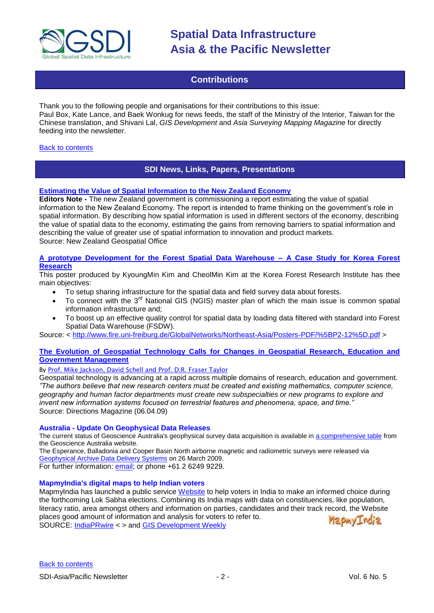

# **Contributions**

<span id="page-1-0"></span>Thank you to the following people and organisations for their contributions to this issue: Paul Box, Kate Lance, and Baek Wonkug for news feeds, the staff of the Ministry of the Interior, Taiwan for the Chinese translation, and Shivani Lal, *GIS Development* and *Asia Surveying Mapping Magazine* for directly feeding into the newsletter.

# <span id="page-1-1"></span>[Back to contents](#page-0-1)

# **SDI News, Links, Papers, Presentations**

# **[Estimating the Value of Spatial Information to the New Zealand Economy](http://www.geospatial.govt.nz/estimating-the-value-of-spatial-information-2/)**

**Editors Note -** The new Zealand government is commissioning a report estimating the value of spatial information to the New Zealand Economy. The report is intended to frame thinking on the government"s role in spatial information. By describing how spatial information is used in different sectors of the economy, describing the value of spatial data to the economy, estimating the gains from removing barriers to spatial information and describing the value of greater use of spatial information to innovation and product markets. Source: New Zealand Geospatial Office

# **[A prototype Development for the Forest Spatial Data Warehouse –](http://www.fire.uni-freiburg.de/GlobalNetworks/Northeast-Asia/Posters-PDF/%5BP2-12%5D.pdf) A Case Study for Korea Forest [Research](http://www.fire.uni-freiburg.de/GlobalNetworks/Northeast-Asia/Posters-PDF/%5BP2-12%5D.pdf)**

This poster produced by KyoungMin Kim and CheolMin Kim at the Korea Forest Research Institute has thee main objectives:

- To setup sharing infrastructure for the spatial data and field survey data about forests.
- To connect with the 3<sup>rd</sup> National GIS (NGIS) master plan of which the main issue is common spatial information infrastructure and;
- To boost up an effective quality control for spatial data by loading data filtered with standard into Forest Spatial Data Warehouse (FSDW).

Source: < [http://www.fire.uni-freiburg.de/GlobalNetworks/Northeast-Asia/Posters-PDF/%5BP2-12%5D.pdf](http://www.fire.uni-freiburg.de/GlobalNetworks/Northeast-Asia/Posters-PDF/%5bP2-12%5d.pdf) >

# **[The Evolution of Geospatial Technology Calls for Changes in Geospatial Research, Education and](http://www.directionsmag.com/article.php?article_id=3092)  [Government Management](http://www.directionsmag.com/article.php?article_id=3092)**

By [Prof. Mike Jackson, David Schell and Prof. D.R. Fraser Taylor](http://www.directionsmag.com/author.php?author_id=568)

Geospatial technology is advancing at a rapid across multiple domains of research, education and government. *"The authors believe that new research centers must be created and existing mathematics, computer science, geography and human factor departments must create new subspecialties or new programs to explore and invent new information systems focused on terrestrial features and phenomena, space, and time."* Source: Directions Magazine (06.04.09)

### **Australia - Update On Geophysical Data Releases**

The current status of Geoscience Australia's geophysical survey data acquisition is available in [a comprehensive table](http://www.ga.gov.au/about-us/news-media/minerals-alert/survey-data.jsp) from the Geoscience Australia website.

The Esperance, Balladonia and Cooper Basin North airborne magnetic and radiometric surveys were released via [Geophysical Archive Data Delivery Systems](http://www.geoscience.gov.au/bin/mapserv36?map=/public/http/www/geoportal/gadds/gadds.map&mode=browse) on 26 March 2009.

For further information: [email;](mailto:murray.richardson@ga.gov.au) or phone +61 2 6249 9229.

# **MapmyIndia's digital maps to help Indian voters**

MapmyIndia has launched a public service [Website](http://elections.mapmyindia.com/) to help voters in India to make an informed choice during the forthcoming Lok Sabha elections. Combining its India maps with data on constituencies, like population, literacy ratio, area amongst others and information on parties, candidates and their track record, the Website places good amount of information and analysis for voters to refer to. MapmyIndia SOURCE: [IndiaPRwire](http://tinyurl.com/cq94q8) < > and [GIS Development Weekly](http://www.gisdevelopment.net/news/viewn.asp?id=GIS:N_gzwlyoispx&Ezine=apr2009§ion=News)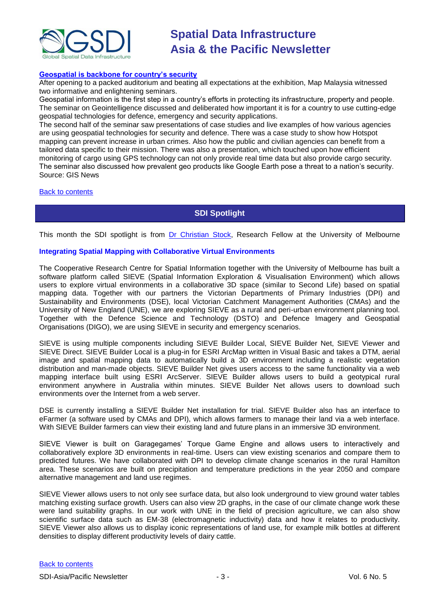

#### **[Geospatial is backbone for country"s security](http://www.gisdevelopment.net/news/viewn.asp?id=GIS:N_wofnkeszdr&Ezine=apr2709§ion=News)**

After opening to a packed auditorium and beating all expectations at the exhibition, Map Malaysia witnessed two informative and enlightening seminars.

Geospatial information is the first step in a country"s efforts in protecting its infrastructure, property and people. The seminar on Geointelligence discussed and deliberated how important it is for a country to use cutting-edge geospatial technologies for defence, emergency and security applications.

The second half of the seminar saw presentations of case studies and live examples of how various agencies are using geospatial technologies for security and defence. There was a case study to show how Hotspot mapping can prevent increase in urban crimes. Also how the public and civilian agencies can benefit from a tailored data specific to their mission. There was also a presentation, which touched upon how efficient monitoring of cargo using GPS technology can not only provide real time data but also provide cargo security. The seminar also discussed how prevalent geo products like Google Earth pose a threat to a nation"s security. Source: GIS News

#### <span id="page-2-0"></span>[Back to contents](#page-0-1)

# **SDI Spotlight**

This month the SDI spotlight is from [Dr Christian Stock,](mailto:cstock@unimelb.edu.au) Research Fellow at the University of Melbourne

#### **Integrating Spatial Mapping with Collaborative Virtual Environments**

The Cooperative Research Centre for Spatial Information together with the University of Melbourne has built a software platform called SIEVE (Spatial Information Exploration & Visualisation Environment) which allows users to explore virtual environments in a collaborative 3D space (similar to Second Life) based on spatial mapping data. Together with our partners the Victorian Departments of Primary Industries (DPI) and Sustainability and Environments (DSE), local Victorian Catchment Management Authorities (CMAs) and the University of New England (UNE), we are exploring SIEVE as a rural and peri-urban environment planning tool. Together with the Defence Science and Technology (DSTO) and Defence Imagery and Geospatial Organisations (DIGO), we are using SIEVE in security and emergency scenarios.

SIEVE is using multiple components including SIEVE Builder Local, SIEVE Builder Net, SIEVE Viewer and SIEVE Direct. SIEVE Builder Local is a plug-in for ESRI ArcMap written in Visual Basic and takes a DTM, aerial image and spatial mapping data to automatically build a 3D environment including a realistic vegetation distribution and man-made objects. SIEVE Builder Net gives users access to the same functionality via a web mapping interface built using ESRI ArcServer. SIEVE Builder allows users to build a geotypical rural environment anywhere in Australia within minutes. SIEVE Builder Net allows users to download such environments over the Internet from a web server.

DSE is currently installing a SIEVE Builder Net installation for trial. SIEVE Builder also has an interface to eFarmer (a software used by CMAs and DPI), which allows farmers to manage their land via a web interface. With SIEVE Builder farmers can view their existing land and future plans in an immersive 3D environment.

SIEVE Viewer is built on Garagegames' Torque Game Engine and allows users to interactively and collaboratively explore 3D environments in real-time. Users can view existing scenarios and compare them to predicted futures. We have collaborated with DPI to develop climate change scenarios in the rural Hamilton area. These scenarios are built on precipitation and temperature predictions in the year 2050 and compare alternative management and land use regimes.

SIEVE Viewer allows users to not only see surface data, but also look underground to view ground water tables matching existing surface growth. Users can also view 2D graphs, in the case of our climate change work these were land suitability graphs. In our work with UNE in the field of precision agriculture, we can also show scientific surface data such as EM-38 (electromagnetic inductivity) data and how it relates to productivity. SIEVE Viewer also allows us to display iconic representations of land use, for example milk bottles at different densities to display different productivity levels of dairy cattle.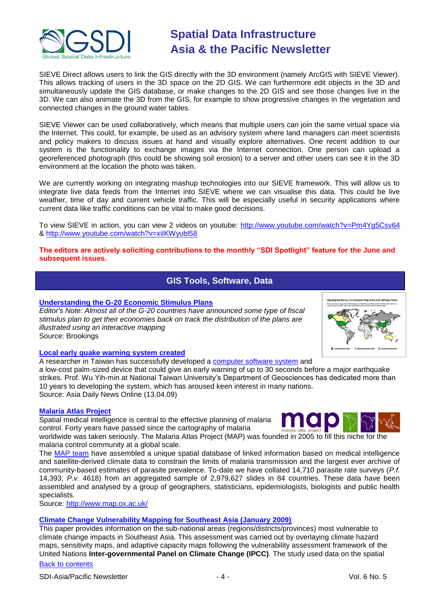

SIEVE Direct allows users to link the GIS directly with the 3D environment (namely ArcGIS with SIEVE Viewer). This allows tracking of users in the 3D space on the 2D GIS. We can furthermore edit objects in the 3D and simultaneously update the GIS database, or make changes to the 2D GIS and see those changes live in the 3D. We can also animate the 3D from the GIS, for example to show progressive changes in the vegetation and connected changes in the ground water tables.

SIEVE Viewer can be used collaboratively, which means that multiple users can join the same virtual space via the Internet. This could, for example, be used as an advisory system where land managers can meet scientists and policy makers to discuss issues at hand and visually explore alternatives. One recent addition to our system is the functionality to exchange images via the Internet connection. One person can upload a georeferenced photograph (this could be showing soil erosion) to a server and other users can see it in the 3D environment at the location the photo was taken.

We are currently working on integrating mashup technologies into our SIEVE framework. This will allow us to integrate live data feeds from the Internet into SIEVE where we can visualise this data. This could be live weather, time of day and current vehicle traffic. This will be especially useful in security applications where current data like traffic conditions can be vital to make good decisions.

To view SIEVE in action, you can view 2 videos on youtube:<http://www.youtube.com/watch?v=Pm4Yg5Csv64> &<http://www.youtube.com/watch?v=xiIKWyubl58>

# <span id="page-3-0"></span>**The editors are actively soliciting contributions to the monthly "SDI Spotlight" feature for the June and subsequent issues.**

# **GIS Tools, Software, Data**

# **[Understanding the G-20 Economic Stimulus Plans](http://www.brookings.edu/articles/2009/03_g20_stimulus_prasad.aspx)**

*Editor's Note: Almost all of the G-20 countries have announced some type of fiscal stimulus plan to get their economies back on track the distribution of the plans are illustrated using an interactive mapping* Source: Brookings

# **[Local early quake warning system created](http://english.siamdailynews.com/asia-news/eastern-asia-news/taiwan-news/local-early-quake-warning-system-created.html)**

A researcher in Taiwan has successfully developed a [computer software system](http://english.siamdailynews.com/news-topics/computer-software-system) and

a low-cost palm-sized device that could give an early warning of up to 30 seconds before a major earthquake strikes. Prof. Wu Yih-min at National Taiwan University"s Department of Geosciences has dedicated more than 10 years to developing the system, which has aroused keen interest in many nations. Source: Asia Daily News Online (13.04.09)

# **[Malaria Atlas Project](http://www.map.ox.ac.uk/)**

Spatial medical intelligence is central to the effective planning of malaria control. Forty years have passed since the cartography of malaria

worldwide was taken seriously. The Malaria Atlas Project (MAP) was founded in 2005 to fill this niche for the malaria control community at a global scale.

The [MAP](http://www.map.ox.ac.uk/MAP_team.html) team have assembled a unique spatial database of linked information based on medical intelligence and satellite-derived climate data to constrain the limits of malaria transmission and the largest ever archive of community-based estimates of parasite prevalence. To-date we have collated 14,710 parasite rate surveys (*P.f.* 14,393; *P.v.* 4618) from an aggregated sample of 2,979,627 slides in 84 countries. These data have been assembled and analysed by a group of geographers, statisticians, epidemiologists, biologists and public health specialists.

Source:<http://www.map.ox.ac.uk/>

# **[Climate Change Vulnerability Mapping for Southeast Asia \(January 2009\)](http://www.idrc.ca/uploads/user-S/12324196651Mapping_Report.pdf)**

[Back to contents](#page-0-2) This paper provides information on the sub-national areas (regions/districts/provinces) most vulnerable to climate change impacts in Southeast Asia. This assessment was carried out by overlaying climate hazard maps, sensitivity maps, and adaptive capacity maps following the vulnerability assessment framework of the United Nations **Inter-governmental Panel on Climate Change (IPCC)**. The study used data on the spatial

# SDI-Asia/Pacific Newsletter  $\overline{a}$  - 4 -  $\overline{a}$  - Vol. 6 No. 5



An Interactive Man of the G.20 Sti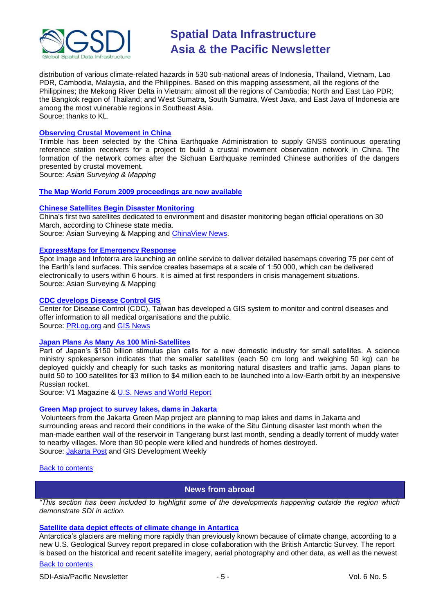

distribution of various climate-related hazards in 530 sub-national areas of Indonesia, Thailand, Vietnam, Lao PDR, Cambodia, Malaysia, and the Philippines. Based on this mapping assessment, all the regions of the Philippines; the Mekong River Delta in Vietnam; almost all the regions of Cambodia; North and East Lao PDR; the Bangkok region of Thailand; and West Sumatra, South Sumatra, West Java, and East Java of Indonesia are among the most vulnerable regions in Southeast Asia. Source: thanks to KL.

### **[Observing Crustal Movement in China](http://www.asmmag.com/news/observing-crustal-movement-in-china)**

Trimble has been selected by the China Earthquake Administration to supply GNSS continuous operating reference station receivers for a project to build a crustal movement observation network in China. The formation of the network comes after the Sichuan Earthquake reminded Chinese authorities of the dangers presented by crustal movement.

Source: *Asian Surveying & Mapping*

### **The Map World Forum 2009 [proceedings are now available](http://gisdevelopment.net/proceedings/mapworldforum/2009/index.htm)**

### **[Chinese Satellites Begin Disaster Monitoring](http://www.asmmag.com/news/chinese-satellites-begin-disaster-monitoring)**

China's first two satellites dedicated to environment and disaster monitoring began official operations on 30 March, according to Chinese state media. Source: Asian Surveying & Mapping and [ChinaView News.](http://news.xinhuanet.com/english/2009-03/31/content_11102981.htm)

### **[ExpressMaps for Emergency Response](http://www.asmmag.com/news)**

Spot Image and Infoterra are launching an online service to deliver detailed basemaps covering 75 per cent of the Earth"s land surfaces. This service creates basemaps at a scale of 1:50 000, which can be delivered electronically to users within 6 hours. It is aimed at first responders in crisis management situations. Source: Asian Surveying & Mapping

### **[CDC develops Disease Control GIS](http://tinyurl.com/dn4hyv)**

Center for Disease Control (CDC), Taiwan has developed a GIS system to monitor and control diseases and offer information to all medical organisations and the public. Source: [PRLog.org](http://www.prlog.org/) and [GIS News](http://www.gisdevelopment.net/news/viewn.asp?id=GIS:N_gxtzsrabnv&Ezine=apr1309§ion=News)

### **[Japan Plans As Many As 100 Mini-Satellites](http://vector1media.com/spatialsustain/)**

Part of Japan's \$150 billion stimulus plan calls for a new domestic industry for small satellites. A science ministry spokesperson indicates that the smaller satellites (each 50 cm long and weighing 50 kg) can be deployed quickly and cheaply for such tasks as monitoring natural disasters and traffic jams. Japan plans to build 50 to 100 satellites for \$3 million to \$4 million each to be launched into a low-Earth orbit by an inexpensive Russian rocket.

Source: V1 Magazine & [U.S. News and World Report](http://www.usnews.com/articles/science/2009/04/16/report-japan-to-build-up-to-100-mini-satellites.html) 

### **[Green Map project to survey lakes, dams in Jakarta](http://www.gisdevelopment.net/news/viewn.asp?id=GIS:N_pkzmliervh&Ezine=apr2009§ion=News)**

Volunteers from the Jakarta Green Map project are planning to map lakes and dams in Jakarta and surrounding areas and record their conditions in the wake of the Situ Gintung disaster last month when the man-made earthen wall of the reservoir in Tangerang burst last month, sending a deadly torrent of muddy water to nearby villages. More than 90 people were killed and hundreds of homes destroyed. Source: [Jakarta Post](http://tinyurl.com/chbcfz) and GIS Development Weekly

#### <span id="page-4-0"></span>[Back to contents](#page-0-1)

# **News from abroad**

*"This section has been included to highlight some of the developments happening outside the region which demonstrate SDI in action.*

# **[Satellite data depict effects of climate change in Antartica](http://pubs.usgs.gov/imap/2600/)**

Antarctica's glaciers are melting more rapidly than previously known because of climate change, according to a new U.S. Geological Survey report prepared in close collaboration with the British Antarctic Survey. The report is based on the historical and recent satellite imagery, aerial photography and other data, as well as the newest

### [Back to contents](#page-0-2)

SDI-Asia/Pacific Newsletter  $\sim$  5 - Section 1.5 - Vol. 6 No. 5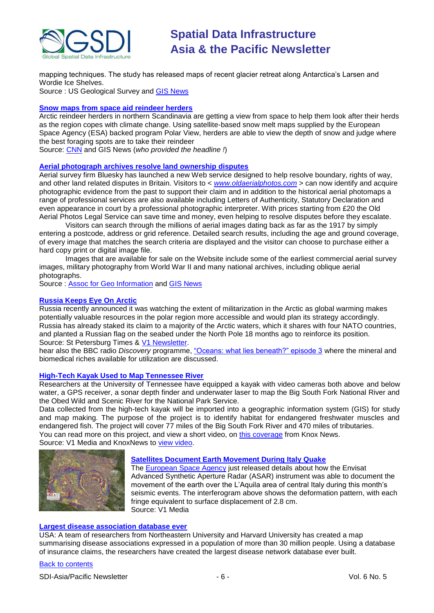

mapping techniques. The study has released maps of recent glacier retreat along Antarctica"s Larsen and Wordie Ice Shelves.

Source : US Geological Survey and **GIS News** 

# **[Snow maps from space aid reindeer herders](http://www.gisdevelopment.net/news/viewn.asp?id=GIS:N_zbwvnqcguk&Ezine=apr1309§ion=News)**

Arctic reindeer herders in northern Scandinavia are getting a view from space to help them look after their herds as the region copes with climate change. Using satellite-based snow melt maps supplied by the European Space Agency (ESA) backed program Polar View, herders are able to view the depth of snow and judge where the best foraging spots are to take their reindeer

Source: [CNN](http://edition.cnn.com/2009/TECH/04/02/eco.snowmaps/) and GIS News (*who provided the headline !*)

# **[Aerial photograph archives resolve land ownership disputes](http://www.agi.org.uk/pooled/articles/BF_NEWSART/view.asp?Q=BF_NEWSART_311426)**

Aerial survey firm Bluesky has launched a new Web service designed to help resolve boundary, rights of way, and other land related disputes in Britain. Visitors to < *[www.oldaerialphotos.com](http://www.oldaerialphotos.com/)* > can now identify and acquire photographic evidence from the past to support their claim and in addition to the historical aerial photomaps a range of professional services are also available including Letters of Authenticity, Statutory Declaration and even appearance in court by a professional photographic interpreter. With prices starting from £20 the Old Aerial Photos Legal Service can save time and money, even helping to resolve disputes before they escalate.

Visitors can search through the millions of aerial images dating back as far as the 1917 by simply entering a postcode, address or grid reference. Detailed search results, including the age and ground coverage, of every image that matches the search criteria are displayed and the visitor can choose to purchase either a hard copy print or digital image file.

Images that are available for sale on the Website include some of the earliest commercial aerial survey images, military photography from World War II and many national archives, including oblique aerial photographs.

Source : [Assoc for Geo Information](http://www.agi.org.uk/) and [GIS News](http://www.gisdevelopment.net/news/viewn.asp?id=GIS:N_zcwofdxvqu&Ezine=apr1309§ion=News)

# **[Russia Keeps Eye On Arctic](http://www.sptimes.ru/index.php?action_id=2&story_id=28333)**

Russia recently announced it was watching the extent of militarization in the Arctic as global warming makes potentially valuable resources in the polar region more accessible and would plan its strategy accordingly. Russia has already staked its claim to a majority of the Arctic waters, which it shares with four NATO countries, and planted a Russian flag on the seabed under the North Pole 18 months ago to reinforce its position. Source: St Petersburg Times & [V1 Newsletter.](http://www.vector1media.com/newsletter/archive/v1-newsletter%11vol.-3,-issue-15/)

hear also the BBC radio *Discovery* programme, ["Oceans: what lies beneath?" episode 3](http://www.bbc.co.uk/programmes/p002pv2n) where the mineral and biomedical riches available for utilization are discussed.

### **[High-Tech Kayak Used to Map Tennessee River](http://vector1media.com/spatialsustain/high-tech-kayak-used-to-map-tennessee-river.html)**

Researchers at the University of Tennessee have equipped a kayak with video cameras both above and below water, a GPS receiver, a sonar depth finder and underwater laser to map the Big South Fork National River and the Obed Wild and Scenic River for the National Park Service.

Data collected from the high-tech kayak will be imported into a geographic information system (GIS) for study and map making. The purpose of the project is to identify habitat for endangered freshwater muscles and endangered fish. The project will cover 77 miles of the Big South Fork River and 470 miles of tributaries. You can read more on this project, and view a short video, on [this coverage](http://www.knoxnews.com/news/2009/apr/14/university-of-tennessee-experts-map-local-waters/) from Knox News. Source: V1 Media and KnoxNews to [view video.](http://www.knoxnews.com/news/2009/apr/14/university-of-tennessee-experts-map-local-waters/)



# **[Satellites Document Earth Movement During Italy Quake](http://vector1media.com/spatialsustain/satellites-document-earth-movement-during-italy-quake.html)**

The **European Space Agency just released details about how the Envisat** Advanced Synthetic Aperture Radar (ASAR) instrument was able to document the movement of the earth over the L"Aquila area of central Italy during this month"s seismic events. The interferogram above shows the deformation pattern, with each fringe equivalent to surface displacement of 2.8 cm. Source: V1 Media

# **[Largest disease association database ever](http://www.newswise.com/articles/view/551042/)**

USA: A team of researchers from Northeastern University and Harvard University has created a map summarising disease associations expressed in a population of more than 30 million people. Using a database of insurance claims, the researchers have created the largest disease network database ever built.

# [Back to contents](#page-0-2)

SDI-Asia/Pacific Newsletter  $\overline{6}$  - 6 -  $\overline{8}$  -  $\overline{9}$  -  $\overline{9}$  -  $\overline{9}$  -  $\overline{9}$  -  $\overline{9}$  -  $\overline{9}$  -  $\overline{9}$  -  $\overline{9}$  -  $\overline{9}$  -  $\overline{9}$  -  $\overline{9}$  -  $\overline{9}$  -  $\overline{9}$  -  $\overline{9}$  -  $\overline{9}$  -  $\over$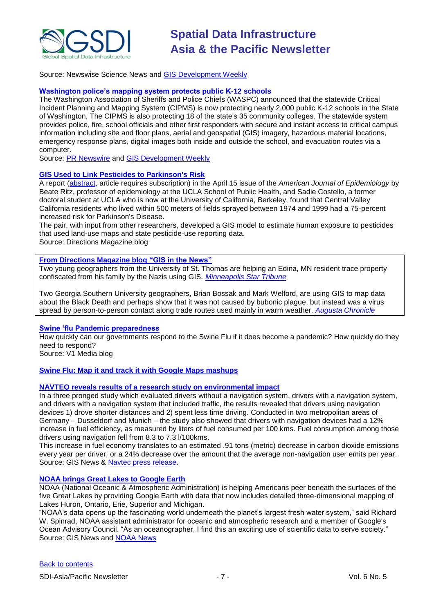

Source: Newswise Science News and [GIS Development Weekly](http://www.gisdevelopment.net/news/viewn.asp?id=GIS:N_liswnktepm&Ezine=apr2009§ion=News)

# **Washington police"s mapping system protects public K-12 schools**

The Washington Association of Sheriffs and Police Chiefs (WASPC) announced that the statewide Critical Incident Planning and Mapping System (CIPMS) is now protecting nearly 2,000 public K-12 schools in the State of Washington. The CIPMS is also protecting 18 of the state's 35 community colleges. The statewide system provides police, fire, school officials and other first responders with secure and instant access to critical campus information including site and floor plans, aerial and geospatial (GIS) imagery, hazardous material locations, emergency response plans, digital images both inside and outside the school, and evacuation routes via a computer.

Source: [PR Newswire](http://sev.prnewswire.com/computer-electronics/20090415/SF9898115042009-1.html) and [GIS Development Weekly](http://www.gisdevelopment.net/news/viewn.asp?id=GIS:N_elarwktsxh&Ezine=apr2009§ion=News)

# **[GIS Used to Link Pesticides to Parkinson's Risk](http://apb.directionsmag.com/archives/5678-GIS-Used-to-Link-Pesticides-to-Parkinsons-Risk.html)**

A report [\(abstract,](http://aje.oxfordjournals.org/cgi/content/abstract/169/8/919) article requires subscription) in the April 15 issue of the *American Journal of Epidemiology* by Beate Ritz, professor of epidemiology at the UCLA School of Public Health, and Sadie Costello, a former doctoral student at UCLA who is now at the University of California, Berkeley, found that Central Valley California residents who lived within 500 meters of fields sprayed between 1974 and 1999 had a 75-percent increased risk for Parkinson's Disease.

The pair, with input from other researchers, developed a GIS model to estimate human exposure to pesticides that used land-use maps and state pesticide-use reporting data.

Source: Directions Magazine blog

# **[From Directions Magazine blog](http://apb.directionsmag.com/archives/5666-GIS-in-the-News.html) "GIS in the News"**

Two young geographers from the University of St. Thomas are helping an Edina, MN resident trace property confiscated from his family by the Nazis using GIS. *[Minneapolis Star Tribune](http://www.startribune.com/local/west/43211052.html?elr=KArks:DCiUHc3E7_V_nDaycUiD3aPc:_Yyc:aUU)*

Two Georgia Southern University geographers, Brian Bossak and Mark Welford, are using GIS to map data about the Black Death and perhaps show that it was not caused by bubonic plague, but instead was a virus spread by person-to-person contact along trade routes used mainly in warm weather. *[Augusta Chronicle](http://chronicle.augusta.com/stories/latest/lat_518382.shtml)*

### **[Swine "flu Pandemic preparedness](http://vector1media.com/spatialsustain/)**

How quickly can our governments respond to the Swine Flu if it does become a pandemic? How quickly do they need to respond?

Source: V1 Media blog

# **Swine Flu: Map it and track [it with Google Maps mashups](http://gpsobsessed.com/swine-flu-map-it-and-track-it-with-google-maps-mashups/)**

# **[NAVTEQ reveals results of a research study on environmental impact](http://www.gisdevelopment.net/news/viewn.asp?id=GIS:N_uvjfxzbyat&Ezine=apr2709§ion=News)**

In a three pronged study which evaluated drivers without a navigation system, drivers with a navigation system, and drivers with a navigation system that included traffic, the results revealed that drivers using navigation devices 1) drove shorter distances and 2) spent less time driving. Conducted in two metropolitan areas of Germany – Dusseldorf and Munich – the study also showed that drivers with navigation devices had a 12% increase in fuel efficiency, as measured by liters of fuel consumed per 100 kms. Fuel consumption among those drivers using navigation fell from 8.3 to 7.3 l/100kms.

This increase in fuel economy translates to an estimated .91 tons (metric) decrease in carbon dioxide emissions every year per driver, or a 24% decrease over the amount that the average non-navigation user emits per year. Source: GIS News & [Navtec press release.](http://www.navteq.com/webapps/NewsUserServlet?action=NewsDetail&newsId=724&lang=en&englishonly=false) 

### **NOAA brings [Great Lakes to Google Earth](http://www.gisdevelopment.net/news/viewn.asp?id=GIS:N_caegivobrh)**

NOAA (National Oceanic & Atmospheric Administration) is helping Americans peer beneath the surfaces of the five Great Lakes by providing Google Earth with data that now includes detailed three-dimensional mapping of Lakes Huron, Ontario, Erie, Superior and Michigan.

"NOAA"s data opens up the fascinating world underneath the planet"s largest fresh water system," said Richard W. Spinrad, NOAA assistant administrator for oceanic and atmospheric research and a member of Google's Ocean Advisory Council. "As an oceanographer, I find this an exciting use of scientific data to serve society." Source: GIS News and [NOAA News](http://www.noaanews.noaa.gov/stories2009/20090423_google.html)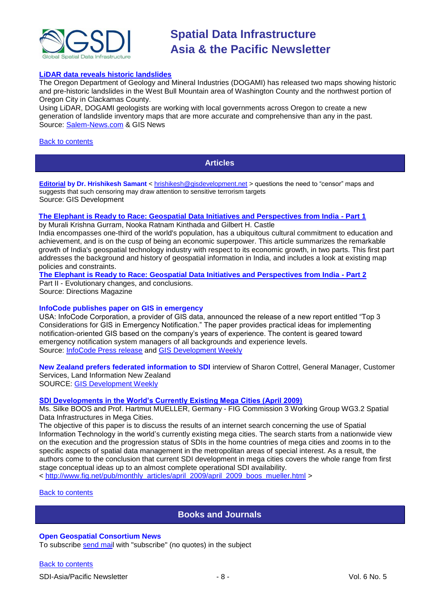

### **[LiDAR data reveals historic landslides](http://www.gisdevelopment.net/news/viewn.asp?id=GIS:N_wjdpmvcsiu&Ezine=apr2709§ion=News)**

The Oregon Department of Geology and Mineral Industries (DOGAMI) has released two maps showing historic and pre-historic landslides in the West Bull Mountain area of Washington County and the northwest portion of Oregon City in Clackamas County.

Using LiDAR, DOGAMI geologists are working with local governments across Oregon to create a new generation of landslide inventory maps that are more accurate and comprehensive than any in the past. Source: [Salem-News.com](http://www.salem-news.com/articles/april212009/landslide_map_4-20-09.php) & GIS News

### <span id="page-7-0"></span>[Back to contents](#page-0-1)

# **Articles**

**[Editorial](http://www.gisdevelopment.net/ezine/weekly/apr0609.htm) by Dr. Hrishikesh Samant** [< hrishikesh@gisdevelopment.net](mailto:hrishikesh@gisdevelopment.net) > questions the need to "censor" maps and suggests that such censoring may draw attention to sensitive terrorism targets Source: GIS Development

# **[The Elephant is Ready to Race: Geospatial Data Initiatives and Perspectives from India -](http://www.directionsmag.com/article.php?article_id=3120) Part 1**

by [Murali Krishna Gurram, Nooka Ratnam Kinthada and Gilbert H. Castle](http://www.directionsmag.com/author.php?author_id=564)

India encompasses one-third of the world's population, has a ubiquitous cultural commitment to education and achievement, and is on the cusp of being an economic superpower. This article summarizes the remarkable growth of India's geospatial technology industry with respect to its economic growth, in two parts. This first part addresses the background and history of geospatial information in India, and includes a look at existing map policies and constraints.

**[The Elephant is Ready to Race: Geospatial Data Initiatives and Perspectives from India -](http://www.directionsmag.com/article.php?article_id=3129) Part 2**

Part II - Evolutionary changes, and conclusions. Source: Directions Magazine

### **InfoCode publishes paper on GIS in emergency**

USA: InfoCode Corporation, a provider of GIS data, announced the release of a new report entitled "Top 3 Considerations for GIS in Emergency Notification." The paper provides practical ideas for implementing notification-oriented GIS based on the company's years of experience. The content is geared toward emergency notification system managers of all backgrounds and experience levels. Source: [InfoCode Press release](http://www.prlog.org/10218860-report-on-gis-data-for-emergency-notification-released.html) and [GIS Development Weekly](http://www.gisdevelopment.net/news/viewn.asp?id=GIS:N_zjhragixwn)

**New Zealand prefers federated information to SDI** interview of Sharon Cottrel, General Manager, Customer Services, Land Information New Zealand SOURCE: [GIS Development Weekly](http://gisdevelopment.net/magazine/global/2009/april/52.htm)

### **[SDI Developments in the World"s Currently Existing Mega Cities \(April 2009\)](http://www.fig.net/pub/monthly_articles/april_2009/boos_mueller_april_2009.pdf)**

Ms. Silke BOOS and Prof. Hartmut MUELLER, Germany - FIG Commission 3 Working Group WG3.2 Spatial Data Infrastructures in Mega Cities.

The objective of this paper is to discuss the results of an internet search concerning the use of Spatial Information Technology in the world"s currently existing mega cities. The search starts from a nationwide view on the execution and the progression status of SDIs in the home countries of mega cities and zooms in to the specific aspects of spatial data management in the metropolitan areas of special interest. As a result, the authors come to the conclusion that current SDI development in mega cities covers the whole range from first stage conceptual ideas up to an almost complete operational SDI availability.

< [http://www.fig.net/pub/monthly\\_articles/april\\_2009/april\\_2009\\_boos\\_mueller.html](http://www.fig.net/pub/monthly_articles/april_2009/april_2009_boos_mueller.html) >

<span id="page-7-1"></span>[Back to contents](#page-0-1)

# **Books and Journals**

# **Open Geospatial Consortium News**

To subscribe [send mail](mailto:emailto:newsletter-request@lists.opengeospatial.org) with "subscribe" (no quotes) in the subject

[Back to contents](#page-0-2)

SDI-Asia/Pacific Newsletter  $\overline{8}$  - 8 -  $\overline{8}$  -  $\overline{8}$  -  $\overline{8}$  -  $\overline{8}$  Vol. 6 No. 5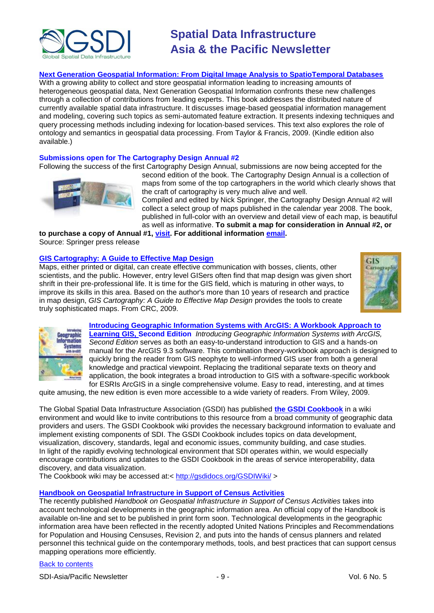

# **[Next Generation Geospatial Information: From Digital Image Analysis to SpatioTemporal Databases](http://www.amazon.com/exec/obidos/ASIN/B000SIG4I6/directionsm00-20)**

With a growing ability to collect and store geospatial information leading to increasing amounts of heterogeneous geospatial data, Next Generation Geospatial Information confronts these new challenges through a collection of contributions from leading experts. This book addresses the distributed nature of currently available spatial data infrastructure. It discusses image-based geospatial information management and modeling, covering such topics as semi-automated feature extraction. It presents indexing techniques and query processing methods including indexing for location-based services. This text also explores the role of ontology and semantics in geospatial data processing. From Taylor & Francis, 2009. (Kindle edition also available.)

### **Submissions open for The Cartography Design Annual #2**

Following the success of the first Cartography Design Annual, submissions are now being accepted for the



second edition of the book. The Cartography Design Annual is a collection of maps from some of the top cartographers in the world which clearly shows that the craft of cartography is very much alive and well.

Compiled and edited by Nick Springer, the Cartography Design Annual #2 will collect a select group of maps published in the calendar year 2008. The book, published in full-color with an overview and detail view of each map, is beautiful as well as informative. **To submit a map for consideration in Annual #2, or** 

**to purchase a copy of Annual #1, [visit.](http://www.cartographyannual.com/) For additional information [email.](mailto:info@cartographyannual.com)**

Source: Springer press release

# **[GIS Cartography: A Guide to Effective Map Design](http://www.amazon.com/exec/obidos/ASIN/1420082132/directionsm00-20)**

Maps, either printed or digital, can create effective communication with bosses, clients, other scientists, and the public. However, entry level GISers often find that map design was given short shrift in their pre-professional life. It is time for the GIS field, which is maturing in other ways, to improve its skills in this area. Based on the author's more than 10 years of research and practice in map design, *GIS Cartography: A Guide to Effective Map Design* provides the tools to create truly sophisticated maps. From CRC, 2009.





**[Introducing Geographic Information Systems with ArcGIS: A Workbook Approach to](http://www.amazon.com/exec/obidos/ASIN/0470398175/directionsm00-20)  [Learning GIS, S](http://www.amazon.com/exec/obidos/ASIN/0470398175/directionsm00-20)econd Edition** *Introducing Geographic Information Systems with ArcGIS, Second Edition* serves as both an easy-to-understand introduction to GIS and a hands-on manual for the ArcGIS 9.3 software. This combination theory-workbook approach is designed to quickly bring the reader from GIS neophyte to well-informed GIS user from both a general knowledge and practical viewpoint. Replacing the traditional separate texts on theory and application, the book integrates a broad introduction to GIS with a software-specific workbook for ESRIs ArcGIS in a single comprehensive volume. Easy to read, interesting, and at times

quite amusing, the new edition is even more accessible to a wide variety of readers. From Wiley, 2009.

The Global Spatial Data Infrastructure Association (GSDI) has published **[the GSDI Cookbook](http://gsdidocs.org/GSDIWiki/)** in a wiki environment and would like to invite contributions to this resource from a broad community of geographic data providers and users. The GSDI Cookbook wiki provides the necessary background information to evaluate and implement existing components of SDI. The GSDI Cookbook includes topics on data development, visualization, discovery, standards, legal and economic issues, community building, and case studies. In light of the rapidly evolving technological environment that SDI operates within, we would especially encourage contributions and updates to the GSDI Cookbook in the areas of service interoperability, data discovery, and data visualization.

The Cookbook wiki may be accessed at:<<http://gsdidocs.org/GSDIWiki/> >

# **[Handbook on Geospatial Infrastructure in Support of Census Activities](http://unstats.un.org/unsd/demographic/standmeth/handbooks/Series_F103en.pdf)**

The recently published *Handbook on Geospatial Infrastructure in Support of Census Activities* takes into account technological developments in the geographic information area. An official copy of the Handbook is available on-line and set to be published in print form soon. Technological developments in the geographic information area have been reflected in the recently adopted United Nations Principles and Recommendations for Population and Housing Censuses, Revision 2, and puts into the hands of census planners and related personnel this technical guide on the contemporary methods, tools, and best practices that can support census mapping operations more efficiently.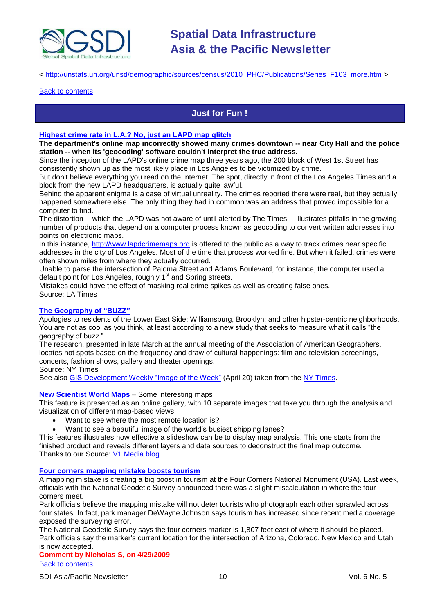

# < [http://unstats.un.org/unsd/demographic/sources/census/2010\\_PHC/Publications/Series\\_F103\\_more.htm](http://unstats.un.org/unsd/demographic/sources/census/2010_PHC/Publications/Series_F103_more.htm) >

#### <span id="page-9-0"></span>**[Back to contents](#page-0-1)**

# **Just for Fun !**

### **[Highest crime rate in L.A.? No, just an LAPD map glitch](http://www.latimes.com/news/local/la-me-geocoding-errors5-2009apr05,0,5966285.story)**

**The department's online map incorrectly showed many crimes downtown -- near City Hall and the police station -- when its 'geocoding' software couldn't interpret the true address.**

Since the inception of the LAPD's online crime map three years ago, the 200 block of West 1st Street has consistently shown up as the most likely place in Los Angeles to be victimized by crime.

But don't believe everything you read on the Internet. The spot, directly in front of the Los Angeles Times and a block from the new LAPD headquarters, is actually quite lawful.

Behind the apparent enigma is a case of virtual unreality. The crimes reported there were real, but they actually happened somewhere else. The only thing they had in common was an address that proved impossible for a computer to find.

The distortion -- which the LAPD was not aware of until alerted by The Times -- illustrates pitfalls in the growing number of products that depend on a computer process known as geocoding to convert written addresses into points on electronic maps.

In this instance, [http://www.lapdcrimemaps.org](http://www.lapdcrimemaps.org/) is offered to the public as a way to track crimes near specific addresses in the city of Los Angeles. Most of the time that process worked fine. But when it failed, crimes were often shown miles from where they actually occurred.

Unable to parse the intersection of Paloma Street and Adams Boulevard, for instance, the computer used a default point for Los Angeles, roughly 1<sup>st</sup> and Spring streets.

Mistakes could have the effect of masking real crime spikes as well as creating false ones. Source: LA Times

### **[The Geography of "BUZZ"](http://www.nytimes.com/2009/04/07/arts/design/07buzz.html?_r=3)**

Apologies to residents of the Lower East Side; Williamsburg, Brooklyn; and other hipster-centric neighborhoods. You are not as cool as you think, at least according to a new study that seeks to measure what it calls "the geography of buzz."

The research, presented in late March at the annual meeting of the Association of American Geographers, locates hot spots based on the frequency and draw of cultural happenings: film and television screenings, concerts, fashion shows, gallery and theater openings.

Source: NY Times

See also [GIS Development Weekly "Image of the Week"](http://gisdevelopment.net/ezine/weekly/imgoftheweekapr2009.htm) (April 20) taken from the [NY Times.](http://www.nytimes.com/interactive/2009/04/06/arts/20090407-buzz-maps.html)

#### **New Scientist World Maps** – Some interesting maps

This feature is presented as an online gallery, with 10 separate images that take you through the analysis and visualization of different map-based views.

- Want to see where the most remote location is?
- Want to see a beautiful image of the world's busiest shipping lanes?

This features illustrates how effective a slideshow can be to display map analysis. This one starts from the finished product and reveals different layers and data sources to deconstruct the final map outcome. Thanks to our Source: [V1 Media blog](http://vector1media.com/spatialsustain/)

# **[Four corners mapping mistake boosts tourism](http://www.gisdevelopment.net/news/viewn.asp?id=GIS:N_qrlxzehtkc)**

A mapping mistake is creating a big boost in tourism at the Four Corners National Monument (USA). Last week, officials with the National Geodetic Survey announced there was a slight miscalculation in where the four corners meet.

Park officials believe the mapping mistake will not deter tourists who photograph each other sprawled across four states. In fact, park manager DeWayne Johnson says tourism has increased since recent media coverage exposed the surveying error.

The National Geodetic Survey says the four corners marker is 1,807 feet east of where it should be placed. Park officials say the marker's current location for the intersection of Arizona, Colorado, New Mexico and Utah is now accepted.

[Back to contents](#page-0-2) **Comment by Nicholas S, on 4/29/2009**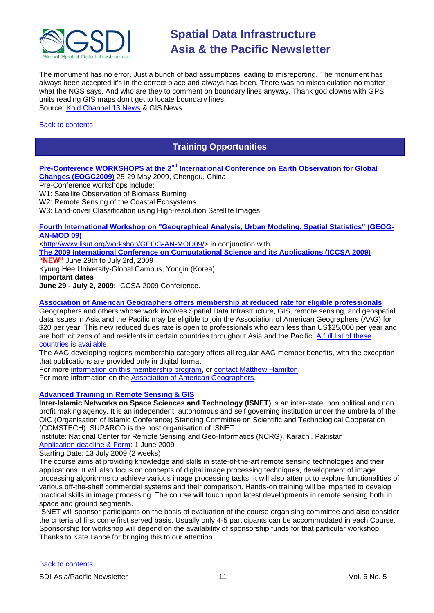

The monument has no error. Just a bunch of bad assumptions leading to misreporting. The monument has always been accepted it's in the correct place and always has been. There was no miscalculation no matter what the NGS says. And who are they to comment on boundary lines anyway. Thank god clowns with GPS units reading GIS maps don't get to locate boundary lines. Source: [Kold Channel 13 News](http://www.kold.com/Global/story.asp?S=10255642&nav=menu86_2) & GIS News

# <span id="page-10-0"></span>[Back to contents](#page-0-1)

# **Training Opportunities**

# **Pre-Conference WORKSHOPS at the 2nd [International Conference on Earth Observation for Global](http://www.eogc2009.com.cn/)**

**[Changes \(EOGC2009\)](http://www.eogc2009.com.cn/)** 25-29 May 2009, Chengdu, China Pre-Conference workshops include:

W1: Satellite Observation of Biomass Burning

W2: Remote Sensing of the Coastal Ecosystems

W3: Land-cover Classification using High-resolution Satellite Images

# **[Fourth International Workshop on "Geographical Analysis, Urban Modeling, Spatial Statistics" \(GEOG-](http://www.iccsa.org/)[AN-MOD 09\)](http://www.iccsa.org/)**

[<http://www.lisut.org/workshop/GEOG-AN-MOD09/>](http://www.lisut.org/workshop/GEOG-AN-MOD09/) in conjunction with

**[The 2009 International Conference on Computational Science and its Applications \(ICCSA 2009\)](http://www.iccsa.org/) "NEW"** June 29th to July 2rd, 2009

Kyung Hee University-Global Campus, Yongin (Korea)

**Important dates**

**June 29 - July 2, 2009:** ICCSA 2009 Conference.

# **[Association of American Geographers offers membership at reduced rate for eligible professionals](http://www.aag.org/developing/index.htm)**

Geographers and others whose work involves Spatial Data Infrastructure, GIS, remote sensing, and geospatial data issues in Asia and the Pacific may be eligible to join the Association of American Geographers (AAG) for \$20 per year. This new reduced dues rate is open to professionals who earn less than US\$25,000 per year and are both citizens of and residents in certain countries throughout Asia and the Pacific. [A full list of these](http://www.aag.org/developing/eligibility.htm)  [countries is available.](http://www.aag.org/developing/eligibility.htm)

The AAG developing regions membership category offers all regular AAG member benefits, with the exception that publications are provided only in digital format.

For more [information on this membership program,](http://www.aag.org/developing/index.htm) or [contact Matthew Hamilton.](mailto:mhamilton@aag.org) For more information on the [Association of American Geographers.](http://www.aag.org/)

# **[Advanced Training in Remote Sensing & GIS](http://www.isnet.org.pk/course02-09.htm)**

**Inter-Islamic Networks on Space Sciences and Technology (ISNET)** is an inter-state, non political and non profit making agency. It is an independent, autonomous and self governing institution under the umbrella of the OIC (Organisation of Islamic Conference) Standing Committee on Scientific and Technological Cooperation (COMSTECH). SUPARCO is the host organisation of ISNET.

Institute: National Center for Remote Sensing and Geo-Informatics (NCRG), Karachi, Pakistan [Application deadline & Form:](http://www.isnet.org.pk/Downloadables/form-courses-08.doc) 1 June 2009

Starting Date: 13 July 2009 (2 weeks)

The course aims at providing knowledge and skills in state-of-the-art remote sensing technologies and their applications. It will also focus on concepts of digital image processing techniques, development of image processing algorithms to achieve various image processing tasks. It will also attempt to explore functionalities of various off-the-shelf commercial systems and their comparison. Hands-on training will be imparted to develop practical skills in image processing. The course will touch upon latest developments in remote sensing both in space and ground segments.

ISNET will sponsor participants on the basis of evaluation of the course organising committee and also consider the criteria of first come first served basis. Usually only 4-5 participants can be accommodated in each Course. Sponsorship for workshop will depend on the availability of sponsorship funds for that particular workshop. Thanks to Kate Lance for bringing this to our attention.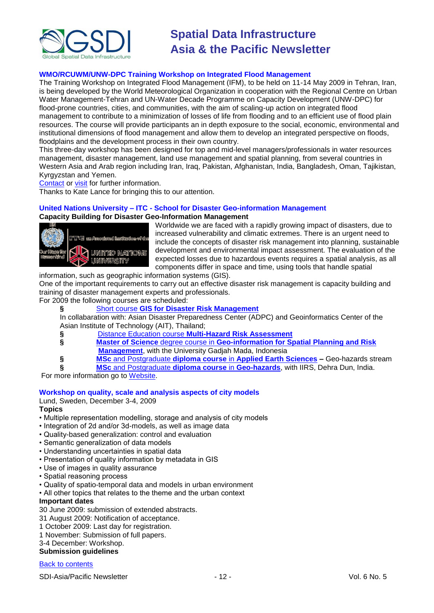

# **WMO/RCUWM/UNW-DPC Training Workshop on Integrated Flood Management**

The Training Workshop on Integrated Flood Management (IFM), to be held on 11-14 May 2009 in Tehran, Iran, is being developed by the World Meteorological Organization in cooperation with the Regional Centre on Urban Water Management-Tehran and UN-Water Decade Programme on Capacity Development (UNW-DPC) for flood-prone countries, cities, and communities, with the aim of scaling-up action on integrated flood management to contribute to a minimization of losses of life from flooding and to an efficient use of flood plain resources. The course will provide participants an in depth exposure to the social, economic, environmental and institutional dimensions of flood management and allow them to develop an integrated perspective on floods, floodplains and the development process in their own country.

This three-day workshop has been designed for top and mid-level managers/professionals in water resources management, disaster management, land use management and spatial planning, from several countries in Western Asia and Arab region including Iran, Iraq, Pakistan, Afghanistan, India, Bangladesh, Oman, Tajikistan, Kyrgyzstan and Yemen.

[Contact](mailto:info@rcuwm.org.ir) or [visit](http://www.rcuwm.org.ir/) for further information.

Thanks to Kate Lance for bringing this to our attention.

### **United Nations University – ITC - School for Disaster Geo-information Management**

# **Capacity Building for Disaster Geo-Information Management**



Worldwide we are faced with a rapidly growing impact of disasters, due to increased vulnerability and climatic extremes. There is an urgent need to include the concepts of disaster risk management into planning, sustainable development and environmental impact assessment. The evaluation of the expected losses due to hazardous events requires a spatial analysis, as all components differ in space and time, using tools that handle spatial

information, such as geographic information systems (GIS).

One of the important requirements to carry out an effective disaster risk management is capacity building and training of disaster management experts and professionals.

For 2009 the following courses are scheduled:

# **§** Short course **[GIS for Disaster Risk Management](http://www.itc.nl/education/courses/course_descriptions/_pdf/C09-ESA-TM-01.pdf)**

In collabaration with: Asian Disaster Preparedness Center (ADPC) and Geoinformatics Center of the Asian Institute of Technology (AIT), Thailand;

- **§** Distance Education course **[Multi-Hazard Risk Assessment](http://www.itc.nl/education/courses/course_descriptions/C09-ESA-DED-01.aspx)**
- **§ Master of Science** degree course in **[Geo-information for Spatial Planning and Risk](http://www.itc.nl/education/courses/course_descriptions/_pdf/C08-AES-MSC-06.pdf)  [Management](http://www.itc.nl/education/courses/course_descriptions/_pdf/C08-AES-MSC-06.pdf)**, with the University Gadjah Mada, Indonesia
	-
- **§ MSc** and Postgraduate **diploma course** in **[Applied Earth Sciences](http://www.itc.nl/education/courses/course_descriptions/C09-AES-MSc-01.aspx) –** Geo-hazards stream
- **§ MSc** [and Postgraduate](http://www.iirs-nrsa.gov.in/msc_hra.pdf) **diploma course** in **Geo-hazards**, with IIRS, Dehra Dun, India.

For more information go to [Website.](http://www.itc.nl/unu/dgim/default.asp)

### **Workshop on quality, scale and analysis aspects of city models**

Lund, Sweden, December 3-4, 2009

### **Topics**

- Multiple representation modelling, storage and analysis of city models
- Integration of 2d and/or 3d-models, as well as image data
- Quality-based generalization: control and evaluation
- Semantic generalization of data models
- Understanding uncertainties in spatial data
- Presentation of quality information by metadata in GIS
- Use of images in quality assurance
- Spatial reasoning process
- Quality of spatio-temporal data and models in urban environment
- All other topics that relates to the theme and the urban context

#### **Important dates**

30 June 2009: submission of extended abstracts.

- 31 August 2009: Notification of acceptance.
- 1 October 2009: Last day for registration.
- 1 November: Submission of full papers.

# 3-4 December: Workshop.

**Submission guidelines**

# [Back to contents](#page-0-2)

SDI-Asia/Pacific Newsletter  $\overline{12} - 12 - 12$  -  $\overline{2} - 12$  vol. 6 No. 5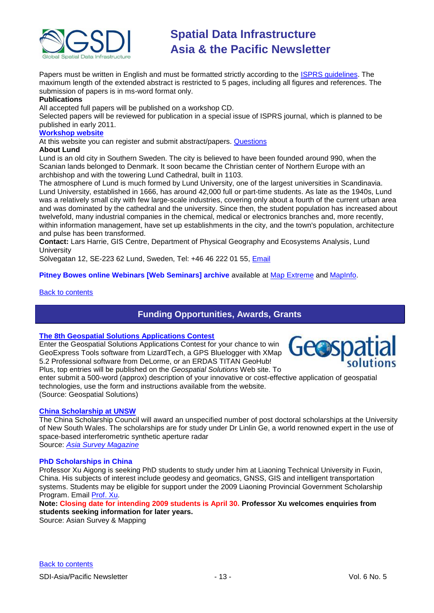

Papers must be written in English and must be formatted strictly according to the **ISPRS** guidelines. The maximum length of the extended abstract is restricted to 5 pages, including all figures and references. The submission of papers is in ms-word format only.

# **Publications**

All accepted full papers will be published on a workshop CD.

Selected papers will be reviewed for publication in a special issue of ISPRS journal, which is planned to be published in early 2011.

# **[Workshop website](http://isprs.gis.lu.se/)**

At this website you can register and submit abstract/papers. **Questions** 

### **About Lund**

Lund is an old city in Southern Sweden. The city is believed to have been founded around 990, when the Scanian lands belonged to Denmark. It soon became the Christian center of Northern Europe with an archbishop and with the towering Lund Cathedral, built in 1103.

The atmosphere of Lund is much formed by Lund University, one of the largest universities in Scandinavia. Lund University, established in 1666, has around 42,000 full or part-time students. As late as the 1940s, Lund was a relatively small city with few large-scale industries, covering only about a fourth of the current urban area and was dominated by the cathedral and the university. Since then, the student population has increased about twelvefold, many industrial companies in the chemical, medical or electronics branches and, more recently, within information management, have set up establishments in the city, and the town's population, architecture and pulse has been transformed.

**Contact:** Lars Harrie, GIS Centre, Department of Physical Geography and Ecosystems Analysis, Lund **University** 

Sölvegatan 12, SE-223 62 Lund, Sweden, Tel: +46 46 222 01 55, [Email](mailto:isprs@gis.lu.se)

**Pitney Bowes online Webinars [Web Seminars] archive** available at [Map Extreme](http://gw.vtrenz.net/?MGOL99J0HK) and [MapInfo.](http://gw.vtrenz.net/?LDKMA6UIKP&webSyncID=612de8b1-1e74-9687-d7c1-c7eda52b01e9)

# <span id="page-12-0"></span>[Back to contents](#page-0-1)

# **Funding Opportunities, Awards, Grants**

### **[The 8th Geospatial Solutions Applications Contest](http://www.geospatial-solutions.com/applicationsContest)**

Enter the Geospatial Solutions Applications Contest for your chance to win GeoExpress Tools software from LizardTech, a GPS Bluelogger with XMap 5.2 Professional software from DeLorme, or an ERDAS TITAN GeoHub! Plus, top entries will be published on the *Geospatial Solutions* Web site. To



enter submit a 500-word (approx) description of your innovative or cost-effective application of geospatial technologies, use the form and instructions available from the website. (Source: Geospatial Solutions)

# **[China Scholarship at UNSW](http://www.asmmag.com/news/Professor%20linlin%20Ge%20scholoarship)**

The China Scholarship Council will award an unspecified number of post doctoral scholarships at the University of New South Wales. The scholarships are for study under Dr Linlin Ge, a world renowned expert in the use of space-based interferometric synthetic aperture radar Source: *[Asia Survey Magazine](http://www.asmmag.com/news/Professor%20linlin%20Ge%20scholoarship)*

**PhD Scholarships in China**

Professor Xu Aigong is seeking PhD students to study under him at Liaoning Technical University in Fuxin, China. His subjects of interest include geodesy and geomatics, GNSS, GIS and intelligent transportation systems. Students may be eligible for support under the 2009 Liaoning Provincial Government Scholarship Program. Email [Prof. Xu.](mailto:eagxu@ntu.edu.sg)

**Note: Closing date for intending 2009 students is April 30. Professor Xu welcomes enquiries from students seeking information for later years.**

Source: Asian Survey & Mapping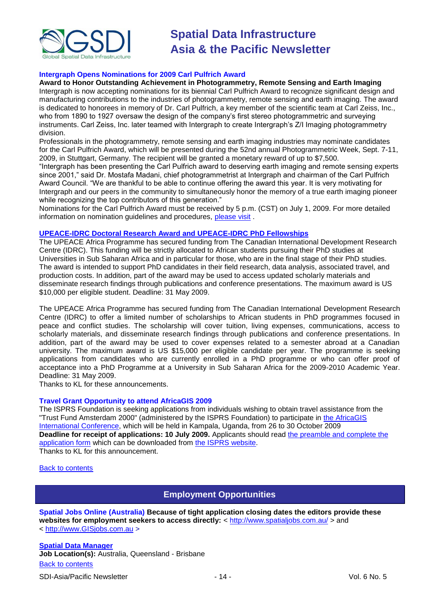

# **Intergraph Opens Nominations for 2009 Carl Pulfrich Award**

#### **Award to Honor Outstanding Achievement in Photogrammetry, Remote Sensing and Earth Imaging**

Intergraph is now accepting nominations for its biennial Carl Pulfrich Award to recognize significant design and manufacturing contributions to the industries of photogrammetry, remote sensing and earth imaging. The award is dedicated to honorees in memory of Dr. Carl Pulfrich, a key member of the scientific team at Carl Zeiss, Inc., who from 1890 to 1927 oversaw the design of the company's first stereo photogrammetric and surveying instruments. Carl Zeiss, Inc. later teamed with Intergraph to create Intergraph"s Z/I Imaging photogrammetry division.

Professionals in the photogrammetry, remote sensing and earth imaging industries may nominate candidates for the Carl Pulfrich Award, which will be presented during the 52nd annual Photogrammetric Week, Sept. 7-11, 2009, in Stuttgart, Germany. The recipient will be granted a monetary reward of up to \$7,500.

"Intergraph has been presenting the Carl Pulfrich award to deserving earth imaging and remote sensing experts since 2001," said Dr. Mostafa Madani, chief photogrammetrist at Intergraph and chairman of the Carl Pulfrich Award Council. "We are thankful to be able to continue offering the award this year. It is very motivating for Intergraph and our peers in the community to simultaneously honor the memory of a true earth imaging pioneer while recognizing the top contributors of this generation."

Nominations for the Carl Pulfrich Award must be received by 5 p.m. (CST) on July 1, 2009. For more detailed information on nomination guidelines and procedures, [please visit](http://www.intergraph.com/promo/carlpulfrichaward/) .

#### **[UPEACE-IDRC Doctoral Research Award and UPEACE-IDRC PhD Fellowships](http://www.africa.upeace.org/)**

The UPEACE Africa Programme has secured funding from The Canadian International Development Research Centre (IDRC). This funding will be strictly allocated to African students pursuing their PhD studies at Universities in Sub Saharan Africa and in particular for those, who are in the final stage of their PhD studies. The award is intended to support PhD candidates in their field research, data analysis, associated travel, and production costs. In addition, part of the award may be used to access updated scholarly materials and disseminate research findings through publications and conference presentations. The maximum award is US \$10,000 per eligible student. Deadline: 31 May 2009.

The UPEACE Africa Programme has secured funding from The Canadian International Development Research Centre (IDRC) to offer a limited number of scholarships to African students in PhD programmes focused in peace and conflict studies. The scholarship will cover tuition, living expenses, communications, access to scholarly materials, and disseminate research findings through publications and conference presentations. In addition, part of the award may be used to cover expenses related to a semester abroad at a Canadian university. The maximum award is US \$15,000 per eligible candidate per year. The programme is seeking applications from candidates who are currently enrolled in a PhD programme or who can offer proof of acceptance into a PhD Programme at a University in Sub Saharan Africa for the 2009-2010 Academic Year. Deadline: 31 May 2009.

Thanks to KL for these announcements.

# **Travel Grant Opportunity to attend AfricaGIS 2009**

The ISPRS Foundation is seeking applications from individuals wishing to obtain travel assistance from the "Trust Fund Amsterdam 2000" (administered by the ISPRS Foundation) to participate in the AfricaGIS [International Conference,](http://www.africagis2009.org/) which will be held in Kampala, Uganda, from 26 to 30 October 2009 **Deadline for receipt of applications: 10 July 2009.** Applicants should read [the preamble and complete the](http://www.isprs.org/foundation/PDF/TFA2000PreambleRequestAfricaGIS2009.pdf)  [application form](http://www.isprs.org/foundation/PDF/TFA2000PreambleRequestAfricaGIS2009.pdf) which can be downloaded from [the ISPRS website.](http://www.isprs.org/foundation/) Thanks to KL for this announcement.

<span id="page-13-0"></span>[Back to contents](#page-0-1)

# **Employment Opportunities**

**Spatial Jobs Online (Australia) Because of tight application closing dates the editors provide these**  websites for employment seekers to access directly: <<http://www.spatialjobs.com.au/> > and

< [http://www.GISjobs.com.au](http://www.gisjobs.com.au/) >

[Back to contents](#page-0-2) **[Spatial Data Manager](http://employment.brisbane.qld.gov.au/jobDetails.asp?sJobIDs=543013&sReferrer=home&lApplicationSubSourceID=12344&lBrandID=&lCategoryID=&lLocationID=&lWorkTypeID=&sJobNo=sje543013&stp=AW&sLanguage=en) Job Location(s):** Australia, Queensland - Brisbane

SDI-Asia/Pacific Newsletter  $\overline{\phantom{a}}$  - 14 -  $\overline{\phantom{a}}$  - Vol. 6 No. 5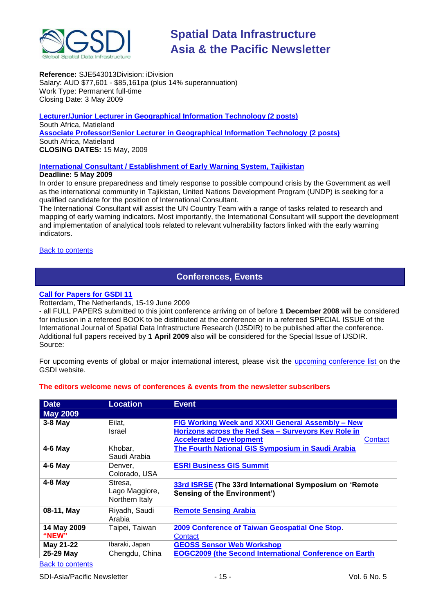

**Reference:** SJE543013Division: iDivision Salary: AUD \$77,601 - \$85,161pa (plus 14% superannuation) Work Type: Permanent full-time Closing Date: 3 May 2009

**[Lecturer/Junior Lecturer in Geographical Information Technology \(2 posts\)](http://www.directionsmag.com/careers/job/815/show.html)** South Africa, Matieland **[Associate Professor/Senior Lecturer in Geographical Information Technology \(2 posts\)](http://www.directionsmag.com/careers/job/814/show.html)** South Africa, Matieland **CLOSING DATES:** 15 May, 2009

# **[International Consultant / Establishment of Early Warning System, Tajikistan](http://www.reliefweb.int/rw/res.nsf/db900SID/OCHA-7RBGYT?OpenDocument&RSS20=07-P)**

# **Deadline: 5 May 2009**

In order to ensure preparedness and timely response to possible compound crisis by the Government as well as the international community in Tajikistan, United Nations Development Program (UNDP) is seeking for a qualified candidate for the position of International Consultant.

The International Consultant will assist the UN Country Team with a range of tasks related to research and mapping of early warning indicators. Most importantly, the International Consultant will support the development and implementation of analytical tools related to relevant vulnerability factors linked with the early warning indicators.

# <span id="page-14-0"></span>**[Back to contents](#page-0-1)**

# **Conferences, Events**

# **[Call for Papers for GSDI 11](http://gsdi.org/gsdi11/papers.html)**

Rotterdam, The Netherlands, 15-19 June 2009

- all FULL PAPERS submitted to this joint conference arriving on of before **1 December 2008** will be considered for inclusion in a refereed BOOK to be distributed at the conference or in a refereed SPECIAL ISSUE of the International Journal of Spatial Data Infrastructure Research (IJSDIR) to be published after the conference. Additional full papers received by **1 April 2009** also will be considered for the Special Issue of IJSDIR. Source:

For upcoming events of global or major international interest, please visit the [upcoming conference list o](http://gsdi.org/events/upcnf.asp)n the GSDI website.

# **The editors welcome news of conferences & events from the newsletter subscribers**

| <b>Date</b>          | <b>Location</b>                             | <b>Event</b>                                                                                                                                          |
|----------------------|---------------------------------------------|-------------------------------------------------------------------------------------------------------------------------------------------------------|
| <b>May 2009</b>      |                                             |                                                                                                                                                       |
| $3-8$ May            | Eilat.<br>Israel                            | FIG Working Week and XXXII General Assembly - New<br>Horizons across the Red Sea - Surveyors Key Role in<br><b>Accelerated Development</b><br>Contact |
| $4-6$ May            | Khobar,<br>Saudi Arabia                     | The Fourth National GIS Symposium in Saudi Arabia                                                                                                     |
| $4-6$ May            | Denver.<br>Colorado, USA                    | <b>ESRI Business GIS Summit</b>                                                                                                                       |
| $4-8$ May            | Stresa,<br>Lago Maggiore,<br>Northern Italy | 33rd ISRSE (The 33rd International Symposium on 'Remote<br><b>Sensing of the Environment')</b>                                                        |
| 08-11, May           | Riyadh, Saudi<br>Arabia                     | <b>Remote Sensing Arabia</b>                                                                                                                          |
| 14 May 2009<br>"NEW" | Taipei, Taiwan                              | 2009 Conference of Taiwan Geospatial One Stop.<br>Contact                                                                                             |
| May 21-22            | Ibaraki, Japan                              | <b>GEOSS Sensor Web Workshop</b>                                                                                                                      |
| 25-29 May            | Chengdu, China                              | <b>EOGC2009 (the Second International Conference on Earth</b>                                                                                         |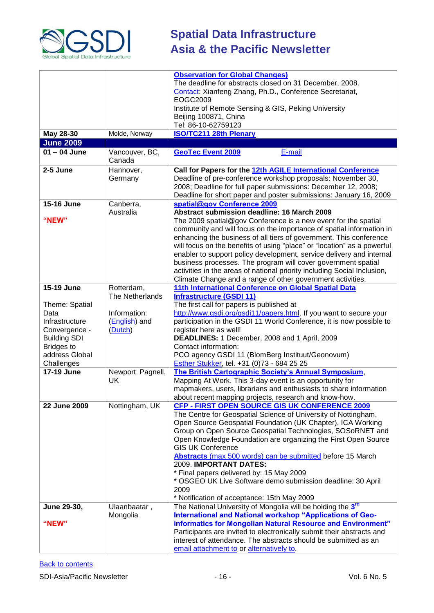

|                                                                                                                                       |                                                             | <b>Observation for Global Changes)</b><br>The deadline for abstracts closed on 31 December, 2008.<br>Contact: Xianfeng Zhang, Ph.D., Conference Secretariat,<br>EOGC2009<br>Institute of Remote Sensing & GIS, Peking University<br>Beijing 100871, China<br>Tel: 86-10-62759123                                                                                                                                                                                                                                                                                                                                          |
|---------------------------------------------------------------------------------------------------------------------------------------|-------------------------------------------------------------|---------------------------------------------------------------------------------------------------------------------------------------------------------------------------------------------------------------------------------------------------------------------------------------------------------------------------------------------------------------------------------------------------------------------------------------------------------------------------------------------------------------------------------------------------------------------------------------------------------------------------|
| May 28-30                                                                                                                             | Molde, Norway                                               | <b>ISO/TC211 28th Plenary</b>                                                                                                                                                                                                                                                                                                                                                                                                                                                                                                                                                                                             |
| <b>June 2009</b>                                                                                                                      |                                                             |                                                                                                                                                                                                                                                                                                                                                                                                                                                                                                                                                                                                                           |
| $01 - 04$ June                                                                                                                        | Vancouver, BC,<br>Canada                                    | <b>GeoTec Event 2009</b><br>E-mail                                                                                                                                                                                                                                                                                                                                                                                                                                                                                                                                                                                        |
| 2-5 June                                                                                                                              | Hannover,<br>Germany                                        | Call for Papers for the 12th AGILE International Conference<br>Deadline of pre-conference workshop proposals: November 30,<br>2008; Deadline for full paper submissions: December 12, 2008;<br>Deadline for short paper and poster submissions: January 16, 2009                                                                                                                                                                                                                                                                                                                                                          |
| 15-16 June                                                                                                                            | Canberra,                                                   | spatial@gov Conference 2009                                                                                                                                                                                                                                                                                                                                                                                                                                                                                                                                                                                               |
| "NEW"                                                                                                                                 | Australia                                                   | Abstract submission deadline: 16 March 2009<br>The 2009 spatial@gov Conference is a new event for the spatial<br>community and will focus on the importance of spatial information in<br>enhancing the business of all tiers of government. This conference<br>will focus on the benefits of using "place" or "location" as a powerful<br>enabler to support policy development, service delivery and internal<br>business processes. The program will cover government spatial<br>activities in the areas of national priority including Social Inclusion,<br>Climate Change and a range of other government activities. |
| 15-19 June                                                                                                                            | Rotterdam,                                                  | 11th International Conference on Global Spatial Data                                                                                                                                                                                                                                                                                                                                                                                                                                                                                                                                                                      |
| Theme: Spatial<br>Data<br>Infrastructure<br>Convergence -<br><b>Building SDI</b><br><b>Bridges to</b><br>address Global<br>Challenges | The Netherlands<br>Information:<br>(English) and<br>(Dutch) | <b>Infrastructure (GSDI 11)</b><br>The first call for papers is published at<br>http://www.gsdi.org/gsdi11/papers.html. If you want to secure your<br>participation in the GSDI 11 World Conference, it is now possible to<br>register here as well!<br>DEADLINES: 1 December, 2008 and 1 April, 2009<br>Contact information:<br>PCO agency GSDI 11 (BlomBerg Instituut/Geonovum)<br>Esther Stukker, tel. +31 (0)73 - 684 25 25                                                                                                                                                                                           |
| <b>17-19 June</b>                                                                                                                     | Newport Pagnell,<br>UK                                      | The British Cartographic Society's Annual Symposium,<br>Mapping At Work. This 3-day event is an opportunity for<br>mapmakers, users, librarians and enthusiasts to share information<br>about recent mapping projects, research and know-how.                                                                                                                                                                                                                                                                                                                                                                             |
| 22 June 2009                                                                                                                          | Nottingham, UK                                              | <b>CFP - FIRST OPEN SOURCE GIS UK CONFERENCE 2009</b><br>The Centre for Geospatial Science of University of Nottingham,<br>Open Source Geospatial Foundation (UK Chapter), ICA Working<br>Group on Open Source Geospatial Technologies, SOSoRNET and<br>Open Knowledge Foundation are organizing the First Open Source<br><b>GIS UK Conference</b><br>Abstracts (max 500 words) can be submitted before 15 March<br>2009. IMPORTANT DATES:<br>* Final papers delivered by: 15 May 2009<br>* OSGEO UK Live Software demo submission deadline: 30 April<br>2009<br>* Notification of acceptance: 15th May 2009              |
| June 29-30,                                                                                                                           | Ulaanbaatar,                                                | The National University of Mongolia will be holding the 3rd                                                                                                                                                                                                                                                                                                                                                                                                                                                                                                                                                               |
| "NEW"                                                                                                                                 | Mongolia                                                    | International and National workshop "Applications of Geo-<br>informatics for Mongolian Natural Resource and Environment"<br>Participants are invited to electronically submit their abstracts and<br>interest of attendance. The abstracts should be submitted as an<br>email attachment to or alternatively to.                                                                                                                                                                                                                                                                                                          |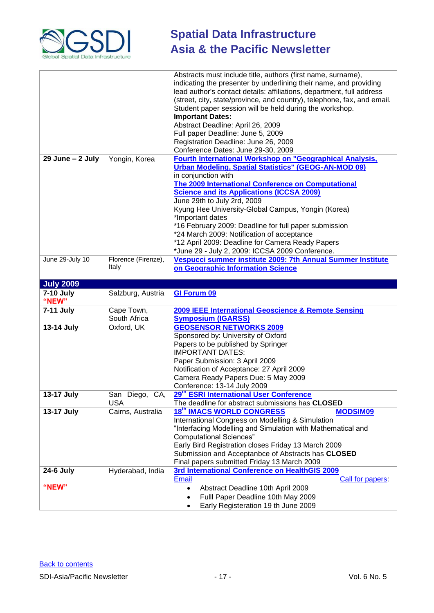

|                      |                                 | Abstracts must include title, authors (first name, surname),<br>indicating the presenter by underlining their name, and providing<br>lead author's contact details: affiliations, department, full address<br>(street, city, state/province, and country), telephone, fax, and email. |
|----------------------|---------------------------------|---------------------------------------------------------------------------------------------------------------------------------------------------------------------------------------------------------------------------------------------------------------------------------------|
|                      |                                 | Student paper session will be held during the workshop.<br><b>Important Dates:</b>                                                                                                                                                                                                    |
|                      |                                 | Abstract Deadline: April 26, 2009                                                                                                                                                                                                                                                     |
|                      |                                 | Full paper Deadline: June 5, 2009                                                                                                                                                                                                                                                     |
|                      |                                 | Registration Deadline: June 26, 2009                                                                                                                                                                                                                                                  |
|                      |                                 | Conference Dates: June 29-30, 2009                                                                                                                                                                                                                                                    |
| $29$ June $- 2$ July | Yongin, Korea                   | Fourth International Workshop on "Geographical Analysis,                                                                                                                                                                                                                              |
|                      |                                 | <b>Urban Modeling, Spatial Statistics" (GEOG-AN-MOD 09)</b>                                                                                                                                                                                                                           |
|                      |                                 | in conjunction with<br><b>The 2009 International Conference on Computational</b>                                                                                                                                                                                                      |
|                      |                                 | <b>Science and its Applications (ICCSA 2009)</b>                                                                                                                                                                                                                                      |
|                      |                                 | June 29th to July 2rd, 2009                                                                                                                                                                                                                                                           |
|                      |                                 | Kyung Hee University-Global Campus, Yongin (Korea)                                                                                                                                                                                                                                    |
|                      |                                 | *Important dates                                                                                                                                                                                                                                                                      |
|                      |                                 | *16 February 2009: Deadline for full paper submission                                                                                                                                                                                                                                 |
|                      |                                 | *24 March 2009: Notification of acceptance                                                                                                                                                                                                                                            |
|                      |                                 | *12 April 2009: Deadline for Camera Ready Papers<br>*June 29 - July 2, 2009: ICCSA 2009 Conference.                                                                                                                                                                                   |
| June 29-July 10      | Florence (Firenze),             | Vespucci summer institute 2009: 7th Annual Summer Institute                                                                                                                                                                                                                           |
|                      | Italy                           | on Geographic Information Science                                                                                                                                                                                                                                                     |
|                      |                                 |                                                                                                                                                                                                                                                                                       |
| <b>July 2009</b>     |                                 |                                                                                                                                                                                                                                                                                       |
|                      |                                 |                                                                                                                                                                                                                                                                                       |
| <b>7-10 July</b>     | Salzburg, Austria               | <b>GI Forum 09</b>                                                                                                                                                                                                                                                                    |
| "NEW"                |                                 |                                                                                                                                                                                                                                                                                       |
| 7-11 July            | Cape Town,                      | 2009 IEEE International Geoscience & Remote Sensing                                                                                                                                                                                                                                   |
|                      | South Africa                    | <b>Symposium (IGARSS)</b>                                                                                                                                                                                                                                                             |
| 13-14 July           | Oxford, UK                      | <b>GEOSENSOR NETWORKS 2009</b>                                                                                                                                                                                                                                                        |
|                      |                                 | Sponsored by: University of Oxford<br>Papers to be published by Springer                                                                                                                                                                                                              |
|                      |                                 | <b>IMPORTANT DATES:</b>                                                                                                                                                                                                                                                               |
|                      |                                 | Paper Submission: 3 April 2009                                                                                                                                                                                                                                                        |
|                      |                                 | Notification of Acceptance: 27 April 2009                                                                                                                                                                                                                                             |
|                      |                                 | Camera Ready Papers Due: 5 May 2009                                                                                                                                                                                                                                                   |
|                      |                                 | Conference: 13-14 July 2009                                                                                                                                                                                                                                                           |
| 13-17 July           | San Diego,<br>CA,<br><b>USA</b> | 29 <sup>th</sup> ESRI International User Conference<br>The deadline for abstract submissions has CLOSED                                                                                                                                                                               |
| 13-17 July           | Cairns, Australia               | <b>18th IMACS WORLD CONGRESS</b><br><b>MODSIM09</b>                                                                                                                                                                                                                                   |
|                      |                                 | International Congress on Modelling & Simulation                                                                                                                                                                                                                                      |
|                      |                                 | "Interfacing Modelling and Simulation with Mathematical and                                                                                                                                                                                                                           |
|                      |                                 | <b>Computational Sciences"</b>                                                                                                                                                                                                                                                        |
|                      |                                 | Early Bird Registration closes Friday 13 March 2009                                                                                                                                                                                                                                   |
|                      |                                 | Submission and Acceptanbce of Abstracts has CLOSED                                                                                                                                                                                                                                    |
|                      |                                 | Final papers submitted Friday 13 March 2009                                                                                                                                                                                                                                           |
| <b>24-6 July</b>     | Hyderabad, India                | 3rd International Conference on HealthGIS 2009<br>Email<br>Call for papers:                                                                                                                                                                                                           |
| "NEW"                |                                 | Abstract Deadline 10th April 2009                                                                                                                                                                                                                                                     |
|                      |                                 | Fulll Paper Deadline 10th May 2009                                                                                                                                                                                                                                                    |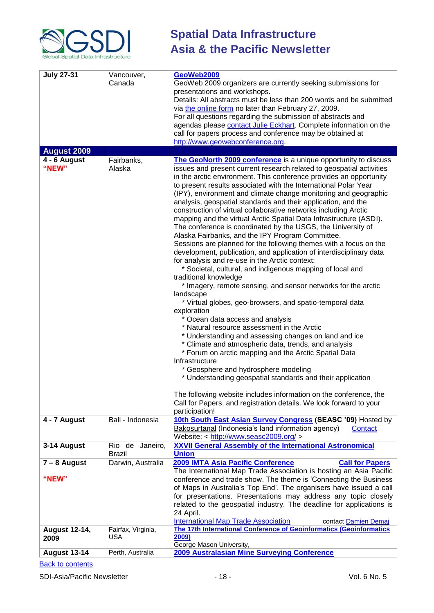

| <b>July 27-31</b>            | Vancouver,<br>Canada      | GeoWeb2009<br>GeoWeb 2009 organizers are currently seeking submissions for<br>presentations and workshops.<br>Details: All abstracts must be less than 200 words and be submitted<br>via the online form no later than February 27, 2009.<br>For all questions regarding the submission of abstracts and<br>agendas please contact Julie Eckhart. Complete information on the<br>call for papers process and conference may be obtained at<br>http://www.geowebconference.org.                                                                                                                                                                                                                                                                                                                                                                                                                                                                                                                                                                                                                                                                                                                                                                                                                                                                                                                                                                                                                                                                                                                                                                                                   |
|------------------------------|---------------------------|----------------------------------------------------------------------------------------------------------------------------------------------------------------------------------------------------------------------------------------------------------------------------------------------------------------------------------------------------------------------------------------------------------------------------------------------------------------------------------------------------------------------------------------------------------------------------------------------------------------------------------------------------------------------------------------------------------------------------------------------------------------------------------------------------------------------------------------------------------------------------------------------------------------------------------------------------------------------------------------------------------------------------------------------------------------------------------------------------------------------------------------------------------------------------------------------------------------------------------------------------------------------------------------------------------------------------------------------------------------------------------------------------------------------------------------------------------------------------------------------------------------------------------------------------------------------------------------------------------------------------------------------------------------------------------|
| <b>August 2009</b>           |                           |                                                                                                                                                                                                                                                                                                                                                                                                                                                                                                                                                                                                                                                                                                                                                                                                                                                                                                                                                                                                                                                                                                                                                                                                                                                                                                                                                                                                                                                                                                                                                                                                                                                                                  |
| 4 - 6 August<br>"NEW"        | Fairbanks,<br>Alaska      | The GeoNorth 2009 conference is a unique opportunity to discuss<br>issues and present current research related to geospatial activities<br>in the arctic environment. This conference provides an opportunity<br>to present results associated with the International Polar Year<br>(IPY), environment and climate change monitoring and geographic<br>analysis, geospatial standards and their application, and the<br>construction of virtual collaborative networks including Arctic<br>mapping and the virtual Arctic Spatial Data Infrastructure (ASDI).<br>The conference is coordinated by the USGS, the University of<br>Alaska Fairbanks, and the IPY Program Committee.<br>Sessions are planned for the following themes with a focus on the<br>development, publication, and application of interdisciplinary data<br>for analysis and re-use in the Arctic context:<br>* Societal, cultural, and indigenous mapping of local and<br>traditional knowledge<br>* Imagery, remote sensing, and sensor networks for the arctic<br>landscape<br>* Virtual globes, geo-browsers, and spatio-temporal data<br>exploration<br>* Ocean data access and analysis<br>* Natural resource assessment in the Arctic<br>* Understanding and assessing changes on land and ice<br>* Climate and atmospheric data, trends, and analysis<br>* Forum on arctic mapping and the Arctic Spatial Data<br>Infrastructure<br>* Geosphere and hydrosphere modeling<br>* Understanding geospatial standards and their application<br>The following website includes information on the conference, the<br>Call for Papers, and registration details. We look forward to your<br>participation! |
| 4 - 7 August                 | Bali - Indonesia          | 10th South East Asian Survey Congress (SEASC '09) Hosted by<br>Bakosurtanal (Indonesia's land information agency)<br>Contact<br>Website: < http://www.seasc2009.org/ >                                                                                                                                                                                                                                                                                                                                                                                                                                                                                                                                                                                                                                                                                                                                                                                                                                                                                                                                                                                                                                                                                                                                                                                                                                                                                                                                                                                                                                                                                                           |
| 3-14 August                  | Rio de Janeiro,<br>Brazil | <b>XXVII General Assembly of the International Astronomical</b><br><b>Union</b>                                                                                                                                                                                                                                                                                                                                                                                                                                                                                                                                                                                                                                                                                                                                                                                                                                                                                                                                                                                                                                                                                                                                                                                                                                                                                                                                                                                                                                                                                                                                                                                                  |
| $7 - 8$ August<br>"NEW"      | Darwin, Australia         | 2009 IMTA Asia Pacific Conference<br><b>Call for Papers</b><br>The International Map Trade Association is hosting an Asia Pacific<br>conference and trade show. The theme is 'Connecting the Business<br>of Maps in Australia's Top End'. The organisers have issued a call<br>for presentations. Presentations may address any topic closely<br>related to the geospatial industry. The deadline for applications is<br>24 April.                                                                                                                                                                                                                                                                                                                                                                                                                                                                                                                                                                                                                                                                                                                                                                                                                                                                                                                                                                                                                                                                                                                                                                                                                                               |
| <b>August 12-14,</b><br>2009 | Fairfax, Virginia,<br>USA | <b>International Map Trade Association</b><br>contact Damien Demai<br>The 17th International Conference of Geoinformatics (Geoinformatics<br>2009)<br>George Mason University,                                                                                                                                                                                                                                                                                                                                                                                                                                                                                                                                                                                                                                                                                                                                                                                                                                                                                                                                                                                                                                                                                                                                                                                                                                                                                                                                                                                                                                                                                                   |
| <b>August 13-14</b>          | Perth, Australia          | 2009 Australasian Mine Surveying Conference                                                                                                                                                                                                                                                                                                                                                                                                                                                                                                                                                                                                                                                                                                                                                                                                                                                                                                                                                                                                                                                                                                                                                                                                                                                                                                                                                                                                                                                                                                                                                                                                                                      |
|                              |                           |                                                                                                                                                                                                                                                                                                                                                                                                                                                                                                                                                                                                                                                                                                                                                                                                                                                                                                                                                                                                                                                                                                                                                                                                                                                                                                                                                                                                                                                                                                                                                                                                                                                                                  |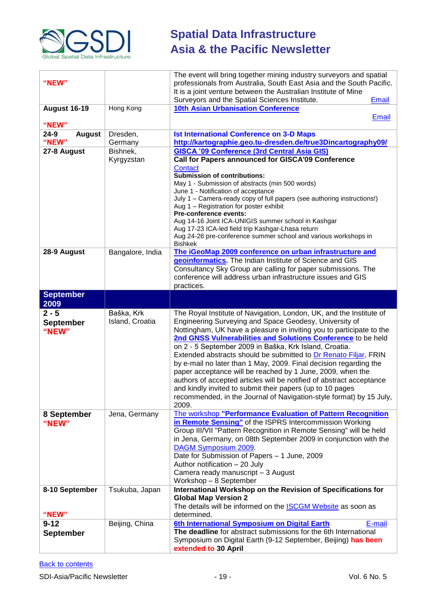

| "NEW"                     |                  | The event will bring together mining industry surveyors and spatial<br>professionals from Australia, South East Asia and the South Pacific.<br>It is a joint venture between the Australian Institute of Mine |
|---------------------------|------------------|---------------------------------------------------------------------------------------------------------------------------------------------------------------------------------------------------------------|
| <b>August 16-19</b>       | Hong Kong        | Surveyors and the Spatial Sciences Institute.<br><b>Email</b><br><b>10th Asian Urbanisation Conference</b>                                                                                                    |
|                           |                  | <b>Email</b>                                                                                                                                                                                                  |
| "NEW"                     |                  |                                                                                                                                                                                                               |
| $24 - 9$<br><b>August</b> | Dresden,         | <b>Ist International Conference on 3-D Maps</b>                                                                                                                                                               |
| "NEW"                     | Germany          | http://kartographie.geo.tu-dresden.de/true3Dincartography09/                                                                                                                                                  |
| 27-8 August               | Bishnek,         | <b>GISCA '09 Conference (3rd Central Asia GIS)</b>                                                                                                                                                            |
|                           | Kyrgyzstan       | Call for Papers announced for GISCA'09 Conference<br><b>Contact</b>                                                                                                                                           |
|                           |                  | <b>Submission of contributions:</b>                                                                                                                                                                           |
|                           |                  | May 1 - Submission of abstracts (min 500 words)                                                                                                                                                               |
|                           |                  | June 1 - Notification of acceptance                                                                                                                                                                           |
|                           |                  | July 1 - Camera-ready copy of full papers (see authoring instructions!)<br>Aug 1 – Registration for poster exhibit                                                                                            |
|                           |                  | Pre-conference events:                                                                                                                                                                                        |
|                           |                  | Aug 14-16 Joint ICA-UNIGIS summer school in Kashgar                                                                                                                                                           |
|                           |                  | Aug 17-23 ICA-led field trip Kashgar-Lhasa return<br>Aug 24-26 pre-conference summer school and various workshops in                                                                                          |
|                           |                  | <b>Bishkek</b>                                                                                                                                                                                                |
| 28-9 August               | Bangalore, India | The iGeoMap 2009 conference on urban infrastructure and                                                                                                                                                       |
|                           |                  | geoinformatics. The Indian Institute of Science and GIS                                                                                                                                                       |
|                           |                  | Consultancy Sky Group are calling for paper submissions. The<br>conference will address urban infrastructure issues and GIS                                                                                   |
|                           |                  | practices.                                                                                                                                                                                                    |
| <b>September</b>          |                  |                                                                                                                                                                                                               |
| 2009                      |                  |                                                                                                                                                                                                               |
| $2 - 5$                   | Baška, Krk       | The Royal Institute of Navigation, London, UK, and the Institute of                                                                                                                                           |
| <b>September</b>          | Island, Croatia  | Engineering Surveying and Space Geodesy, University of                                                                                                                                                        |
| "NEW"                     |                  | Nottingham, UK have a pleasure in inviting you to participate to the<br>2nd GNSS Vulnerabilities and Solutions Conference to be held                                                                          |
|                           |                  | on 2 - 5 September 2009 in Baška, Krk Island, Croatia.                                                                                                                                                        |
|                           |                  | Extended abstracts should be submitted to Dr Renato Filjar, FRIN                                                                                                                                              |
|                           |                  | by e-mail no later than 1 May, 2009. Final decision regarding the                                                                                                                                             |
|                           |                  | paper acceptance will be reached by 1 June, 2009, when the                                                                                                                                                    |
|                           |                  | authors of accepted articles will be notified of abstract acceptance<br>and kindly invited to submit their papers (up to 10 pages                                                                             |
|                           |                  | recommended, in the Journal of Navigation-style format) by 15 July,                                                                                                                                           |
|                           |                  | 2009.                                                                                                                                                                                                         |
| 8 September               | Jena, Germany    | The workshop "Performance Evaluation of Pattern Recognition                                                                                                                                                   |
| "NEW"                     |                  | in Remote Sensing" of the ISPRS Intercommission Working                                                                                                                                                       |
|                           |                  | Group III/VII "Pattern Recognition in Remote Sensing" will be held<br>in Jena, Germany, on 08th September 2009 in conjunction with the                                                                        |
|                           |                  | DAGM Symposium 2009.                                                                                                                                                                                          |
|                           |                  | Date for Submission of Papers - 1 June, 2009                                                                                                                                                                  |
|                           |                  | Author notification - 20 July                                                                                                                                                                                 |
|                           |                  | Camera ready manuscript - 3 August                                                                                                                                                                            |
|                           |                  | Workshop - 8 September<br>International Workshop on the Revision of Specifications for                                                                                                                        |
| 8-10 September            | Tsukuba, Japan   | <b>Global Map Version 2</b>                                                                                                                                                                                   |
|                           |                  | The details will be informed on the ISCGM Website as soon as                                                                                                                                                  |
| "NEW"                     |                  | determined.                                                                                                                                                                                                   |
| $9 - 12$                  | Beijing, China   | 6th International Symposium on Digital Earth<br>E-mail                                                                                                                                                        |
| <b>September</b>          |                  | The deadline for abstract submissions for the 6th International                                                                                                                                               |
|                           |                  | Symposium on Digital Earth (9-12 September, Beijing) has been<br>extended to 30 April                                                                                                                         |
|                           |                  |                                                                                                                                                                                                               |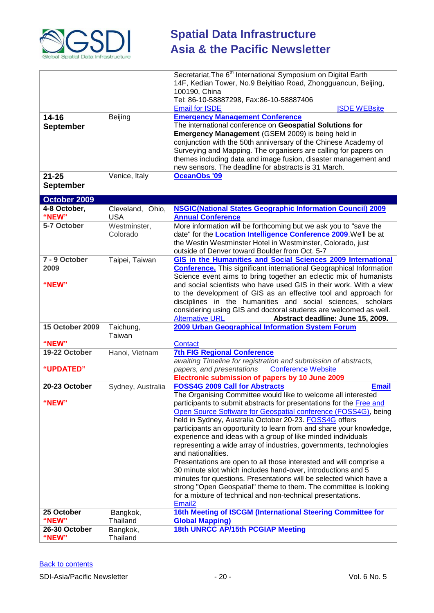

|                        |                      | Secretariat, The 6 <sup>th</sup> International Symposium on Digital Earth                                                          |
|------------------------|----------------------|------------------------------------------------------------------------------------------------------------------------------------|
|                        |                      | 14F, Kedian Tower, No.9 Beiyitiao Road, Zhongguancun, Beijing,                                                                     |
|                        |                      | 100190, China                                                                                                                      |
|                        |                      | Tel: 86-10-58887298, Fax:86-10-58887406                                                                                            |
|                        |                      | <b>Email for ISDE</b><br><b>ISDE WEBsite</b>                                                                                       |
| $14 - 16$              | Beijing              | <b>Emergency Management Conference</b>                                                                                             |
| <b>September</b>       |                      | The international conference on Geospatial Solutions for                                                                           |
|                        |                      | Emergency Management (GSEM 2009) is being held in                                                                                  |
|                        |                      | conjunction with the 50th anniversary of the Chinese Academy of<br>Surveying and Mapping. The organisers are calling for papers on |
|                        |                      | themes including data and image fusion, disaster management and                                                                    |
|                        |                      | new sensors. The deadline for abstracts is 31 March.                                                                               |
| $21 - 25$              | Venice, Italy        | <b>OceanObs '09</b>                                                                                                                |
| <b>September</b>       |                      |                                                                                                                                    |
|                        |                      |                                                                                                                                    |
| October 2009           |                      |                                                                                                                                    |
| 4-8 October,           | Cleveland, Ohio,     | <b>NSGIC(National States Geographic Information Council) 2009</b>                                                                  |
| "NEW"                  | <b>USA</b>           | <b>Annual Conference</b>                                                                                                           |
| 5-7 October            | Westminster,         | More information will be forthcoming but we ask you to "save the                                                                   |
|                        | Colorado             | date" for the Location Intelligence Conference 2009. We'll be at                                                                   |
|                        |                      | the Westin Westminster Hotel in Westminster, Colorado, just<br>outside of Denver toward Boulder from Oct. 5-7                      |
| 7 - 9 October          | Taipei, Taiwan       | GIS in the Humanities and Social Sciences 2009 International                                                                       |
| 2009                   |                      | <b>Conference.</b> This significant international Geographical Information                                                         |
|                        |                      | Science event aims to bring together an eclectic mix of humanists                                                                  |
| "NEW"                  |                      | and social scientists who have used GIS in their work. With a view                                                                 |
|                        |                      | to the development of GIS as an effective tool and approach for                                                                    |
|                        |                      | disciplines in the humanities and social sciences, scholars                                                                        |
|                        |                      |                                                                                                                                    |
|                        |                      | considering using GIS and doctoral students are welcomed as well.                                                                  |
|                        |                      | <b>Alternative URL</b><br>Abstract deadline: June 15, 2009.                                                                        |
| <b>15 October 2009</b> | Taichung,            | 2009 Urban Geographical Information System Forum                                                                                   |
|                        | Taiwan               |                                                                                                                                    |
| "NEW"                  |                      | <b>Contact</b>                                                                                                                     |
| 19-22 October          | Hanoi, Vietnam       | <b>7th FIG Regional Conference</b>                                                                                                 |
|                        |                      | awaiting Timeline for registration and submission of abstracts,                                                                    |
| "UPDATED"              |                      | papers, and presentations<br><b>Conference Website</b>                                                                             |
|                        |                      | Electronic submission of papers by 10 June 2009<br><b>Email</b>                                                                    |
| 20-23 October          | Sydney, Australia    | <b>FOSS4G 2009 Call for Abstracts</b><br>The Organising Committee would like to welcome all interested                             |
| "NEW"                  |                      | participants to submit abstracts for presentations for the Free and                                                                |
|                        |                      | Open Source Software for Geospatial conference (FOSS4G), being                                                                     |
|                        |                      | held in Sydney, Australia October 20-23. FOSS4G offers                                                                             |
|                        |                      | participants an opportunity to learn from and share your knowledge,                                                                |
|                        |                      | experience and ideas with a group of like minded individuals                                                                       |
|                        |                      | representing a wide array of industries, governments, technologies                                                                 |
|                        |                      | and nationalities.                                                                                                                 |
|                        |                      | Presentations are open to all those interested and will comprise a                                                                 |
|                        |                      | 30 minute slot which includes hand-over, introductions and 5                                                                       |
|                        |                      | minutes for questions. Presentations will be selected which have a                                                                 |
|                        |                      | strong "Open Geospatial" theme to them. The committee is looking<br>for a mixture of technical and non-technical presentations.    |
|                        |                      | Email <sub>2</sub>                                                                                                                 |
| 25 October             | Bangkok,             | 16th Meeting of ISCGM (International Steering Committee for                                                                        |
| "NEW"                  | Thailand             | <b>Global Mapping)</b>                                                                                                             |
| 26-30 October<br>"NEW" | Bangkok,<br>Thailand | 18th UNRCC AP/15th PCGIAP Meeting                                                                                                  |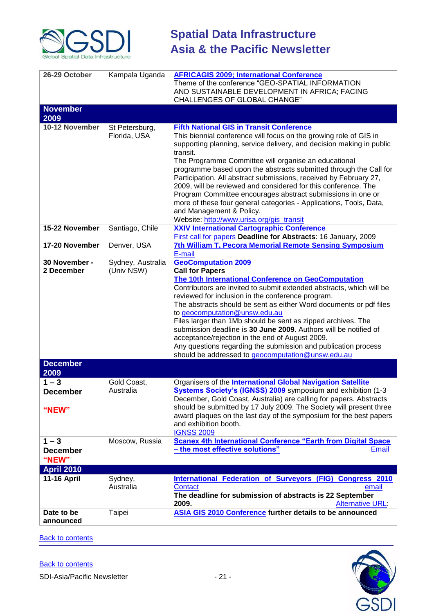

| 26-29 October           | Kampala Uganda    | <b>AFRICAGIS 2009; International Conference</b>                                                                                           |
|-------------------------|-------------------|-------------------------------------------------------------------------------------------------------------------------------------------|
|                         |                   | Theme of the conference "GEO-SPATIAL INFORMATION                                                                                          |
|                         |                   | AND SUSTAINABLE DEVELOPMENT IN AFRICA; FACING                                                                                             |
|                         |                   | CHALLENGES OF GLOBAL CHANGE"                                                                                                              |
| <b>November</b>         |                   |                                                                                                                                           |
| 2009                    |                   |                                                                                                                                           |
| 10-12 November          | St Petersburg,    | <b>Fifth National GIS in Transit Conference</b>                                                                                           |
|                         | Florida, USA      | This biennial conference will focus on the growing role of GIS in                                                                         |
|                         |                   | supporting planning, service delivery, and decision making in public                                                                      |
|                         |                   | transit.                                                                                                                                  |
|                         |                   | The Programme Committee will organise an educational<br>programme based upon the abstracts submitted through the Call for                 |
|                         |                   | Participation. All abstract submissions, received by February 27,                                                                         |
|                         |                   | 2009, will be reviewed and considered for this conference. The                                                                            |
|                         |                   | Program Committee encourages abstract submissions in one or                                                                               |
|                         |                   | more of these four general categories - Applications, Tools, Data,                                                                        |
|                         |                   | and Management & Policy.                                                                                                                  |
|                         |                   | Website: http://www.urisa.org/gis_transit                                                                                                 |
| 15-22 November          | Santiago, Chile   | <b>XXIV International Cartographic Conference</b>                                                                                         |
| 17-20 November          | Denver, USA       | First call for papers Deadline for Abstracts: 16 January, 2009<br>7th William T. Pecora Memorial Remote Sensing Symposium                 |
|                         |                   | E-mail                                                                                                                                    |
| 30 November -           | Sydney, Australia | <b>GeoComputation 2009</b>                                                                                                                |
| 2 December              | (Univ NSW)        | <b>Call for Papers</b>                                                                                                                    |
|                         |                   | The 10th International Conference on GeoComputation                                                                                       |
|                         |                   | Contributors are invited to submit extended abstracts, which will be                                                                      |
|                         |                   | reviewed for inclusion in the conference program.                                                                                         |
|                         |                   | The abstracts should be sent as either Word documents or pdf files<br>to geocomputation@unsw.edu.au                                       |
|                         |                   | Files larger than 1Mb should be sent as zipped archives. The                                                                              |
|                         |                   | submission deadline is 30 June 2009. Authors will be notified of                                                                          |
|                         |                   | acceptance/rejection in the end of August 2009.                                                                                           |
|                         |                   | Any questions regarding the submission and publication process                                                                            |
|                         |                   | should be addressed to geocomputation@unsw.edu.au                                                                                         |
| <b>December</b>         |                   |                                                                                                                                           |
| 2009                    |                   |                                                                                                                                           |
| $1 - 3$                 | Gold Coast,       | Organisers of the International Global Navigation Satellite                                                                               |
| <b>December</b>         | Australia         | Systems Society's (IGNSS) 2009 symposium and exhibition (1-3                                                                              |
|                         |                   | December, Gold Coast, Australia) are calling for papers. Abstracts<br>should be submitted by 17 July 2009. The Society will present three |
| "NEW"                   |                   | award plaques on the last day of the symposium for the best papers                                                                        |
|                         |                   | and exhibition booth.                                                                                                                     |
|                         |                   | <b>IGNSS 2009</b>                                                                                                                         |
| $1 - 3$                 | Moscow, Russia    | <b>Scanex 4th International Conference "Earth from Digital Space</b>                                                                      |
| <b>December</b>         |                   | - the most effective solutions"<br>Email                                                                                                  |
| "NEW"                   |                   |                                                                                                                                           |
| <b>April 2010</b>       |                   |                                                                                                                                           |
| <b>11-16 April</b>      | Sydney,           | International Federation of Surveyors (FIG) Congress 2010                                                                                 |
|                         | Australia         | <b>Contact</b><br>email                                                                                                                   |
|                         |                   | The deadline for submission of abstracts is 22 September                                                                                  |
|                         |                   | 2009.<br><b>Alternative URL:</b>                                                                                                          |
| Date to be<br>announced | Taipei            | ASIA GIS 2010 Conference further details to be announced                                                                                  |

**[Back to contents](#page-0-1)**